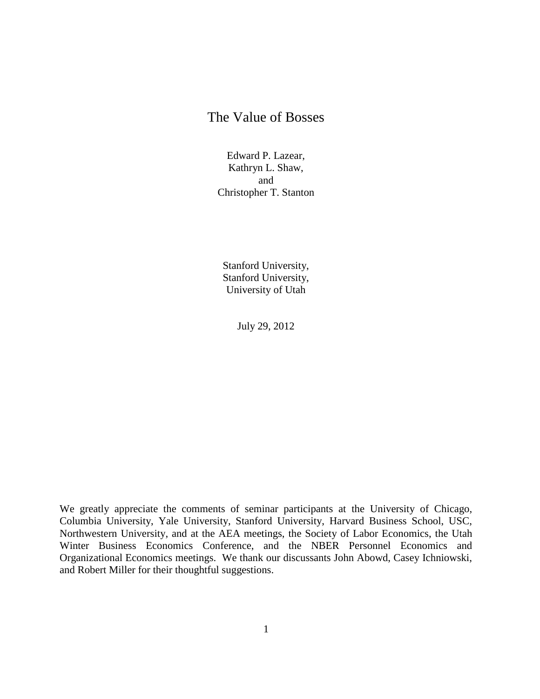# The Value of Bosses

Edward P. Lazear, Kathryn L. Shaw, and Christopher T. Stanton

Stanford University, Stanford University, University of Utah

July 29, 2012

We greatly appreciate the comments of seminar participants at the University of Chicago, Columbia University, Yale University, Stanford University, Harvard Business School, USC, Northwestern University, and at the AEA meetings, the Society of Labor Economics, the Utah Winter Business Economics Conference, and the NBER Personnel Economics and Organizational Economics meetings. We thank our discussants John Abowd, Casey Ichniowski, and Robert Miller for their thoughtful suggestions.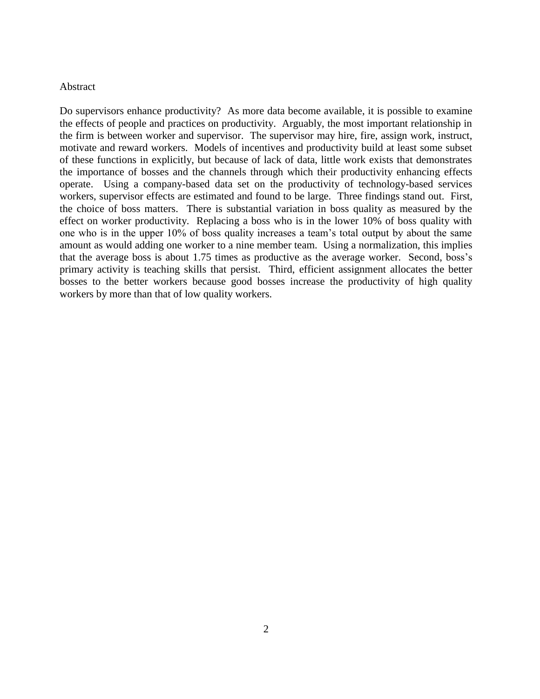#### Abstract

Do supervisors enhance productivity? As more data become available, it is possible to examine the effects of people and practices on productivity. Arguably, the most important relationship in the firm is between worker and supervisor. The supervisor may hire, fire, assign work, instruct, motivate and reward workers. Models of incentives and productivity build at least some subset of these functions in explicitly, but because of lack of data, little work exists that demonstrates the importance of bosses and the channels through which their productivity enhancing effects operate. Using a company-based data set on the productivity of technology-based services workers, supervisor effects are estimated and found to be large. Three findings stand out. First, the choice of boss matters. There is substantial variation in boss quality as measured by the effect on worker productivity. Replacing a boss who is in the lower 10% of boss quality with one who is in the upper 10% of boss quality increases a team's total output by about the same amount as would adding one worker to a nine member team. Using a normalization, this implies that the average boss is about 1.75 times as productive as the average worker. Second, boss's primary activity is teaching skills that persist. Third, efficient assignment allocates the better bosses to the better workers because good bosses increase the productivity of high quality workers by more than that of low quality workers.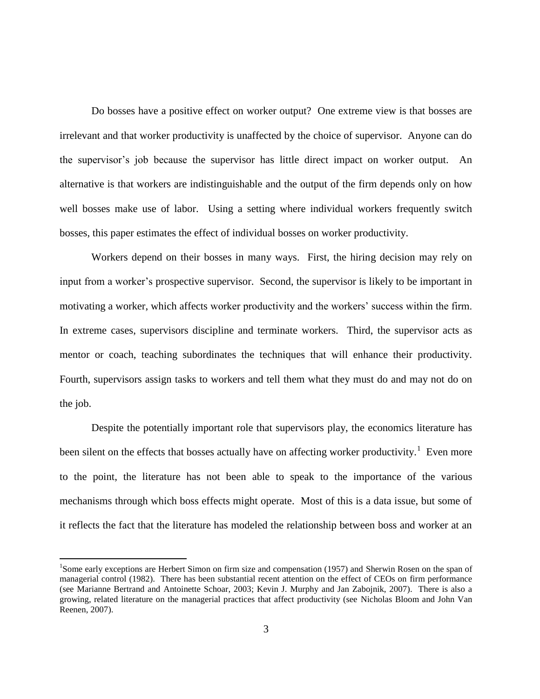Do bosses have a positive effect on worker output? One extreme view is that bosses are irrelevant and that worker productivity is unaffected by the choice of supervisor. Anyone can do the supervisor's job because the supervisor has little direct impact on worker output. An alternative is that workers are indistinguishable and the output of the firm depends only on how well bosses make use of labor. Using a setting where individual workers frequently switch bosses, this paper estimates the effect of individual bosses on worker productivity.

Workers depend on their bosses in many ways. First, the hiring decision may rely on input from a worker's prospective supervisor. Second, the supervisor is likely to be important in motivating a worker, which affects worker productivity and the workers' success within the firm. In extreme cases, supervisors discipline and terminate workers. Third, the supervisor acts as mentor or coach, teaching subordinates the techniques that will enhance their productivity. Fourth, supervisors assign tasks to workers and tell them what they must do and may not do on the job.

Despite the potentially important role that supervisors play, the economics literature has been silent on the effects that bosses actually have on affecting worker productivity.<sup>1</sup> Even more to the point, the literature has not been able to speak to the importance of the various mechanisms through which boss effects might operate. Most of this is a data issue, but some of it reflects the fact that the literature has modeled the relationship between boss and worker at an

 $\overline{a}$ 

<sup>&</sup>lt;sup>1</sup>Some early exceptions are Herbert Simon on firm size and compensation (1957) and Sherwin Rosen on the span of managerial control (1982). There has been substantial recent attention on the effect of CEOs on firm performance (see Marianne Bertrand and Antoinette Schoar, 2003; Kevin J. Murphy and Jan Zabojnik, 2007). There is also a growing, related literature on the managerial practices that affect productivity (see Nicholas Bloom and John Van Reenen, 2007).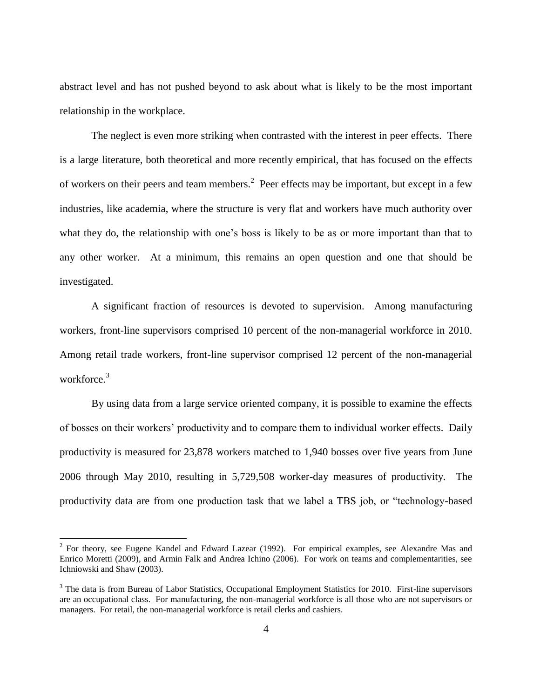abstract level and has not pushed beyond to ask about what is likely to be the most important relationship in the workplace.

The neglect is even more striking when contrasted with the interest in peer effects. There is a large literature, both theoretical and more recently empirical, that has focused on the effects of workers on their peers and team members.<sup>2</sup> Peer effects may be important, but except in a few industries, like academia, where the structure is very flat and workers have much authority over what they do, the relationship with one's boss is likely to be as or more important than that to any other worker. At a minimum, this remains an open question and one that should be investigated.

A significant fraction of resources is devoted to supervision. Among manufacturing workers, front-line supervisors comprised 10 percent of the non-managerial workforce in 2010. Among retail trade workers, front-line supervisor comprised 12 percent of the non-managerial workforce.<sup>3</sup>

By using data from a large service oriented company, it is possible to examine the effects of bosses on their workers' productivity and to compare them to individual worker effects. Daily productivity is measured for 23,878 workers matched to 1,940 bosses over five years from June 2006 through May 2010, resulting in 5,729,508 worker-day measures of productivity. The productivity data are from one production task that we label a TBS job, or "technology-based

 $\overline{a}$ 

 $2^2$  For theory, see Eugene Kandel and Edward Lazear (1992). For empirical examples, see Alexandre Mas and Enrico Moretti (2009), and Armin Falk and Andrea Ichino (2006). For work on teams and complementarities, see Ichniowski and Shaw (2003).

<sup>&</sup>lt;sup>3</sup> The data is from Bureau of Labor Statistics, Occupational Employment Statistics for 2010. First-line supervisors are an occupational class. For manufacturing, the non-managerial workforce is all those who are not supervisors or managers. For retail, the non-managerial workforce is retail clerks and cashiers.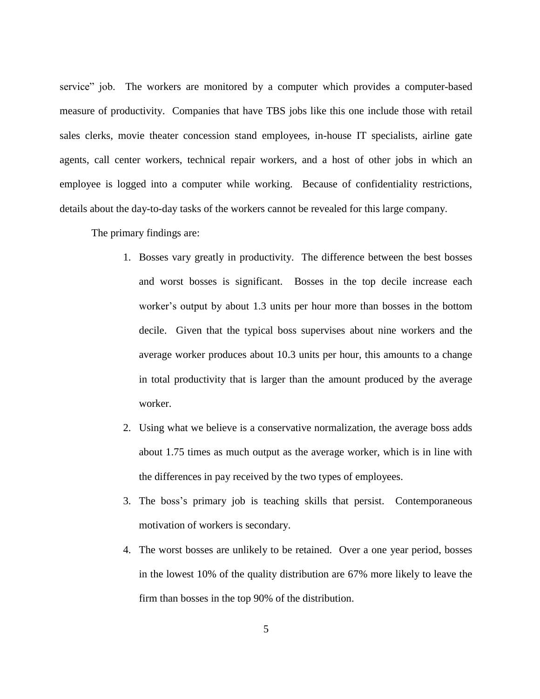service" job. The workers are monitored by a computer which provides a computer-based measure of productivity. Companies that have TBS jobs like this one include those with retail sales clerks, movie theater concession stand employees, in-house IT specialists, airline gate agents, call center workers, technical repair workers, and a host of other jobs in which an employee is logged into a computer while working. Because of confidentiality restrictions, details about the day-to-day tasks of the workers cannot be revealed for this large company.

The primary findings are:

- 1. Bosses vary greatly in productivity. The difference between the best bosses and worst bosses is significant. Bosses in the top decile increase each worker's output by about 1.3 units per hour more than bosses in the bottom decile. Given that the typical boss supervises about nine workers and the average worker produces about 10.3 units per hour, this amounts to a change in total productivity that is larger than the amount produced by the average worker.
- 2. Using what we believe is a conservative normalization, the average boss adds about 1.75 times as much output as the average worker, which is in line with the differences in pay received by the two types of employees.
- 3. The boss's primary job is teaching skills that persist. Contemporaneous motivation of workers is secondary.
- 4. The worst bosses are unlikely to be retained. Over a one year period, bosses in the lowest 10% of the quality distribution are 67% more likely to leave the firm than bosses in the top 90% of the distribution.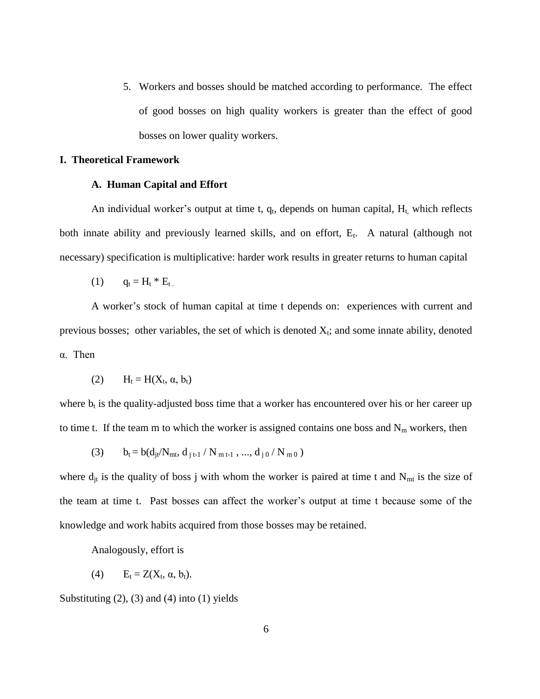5. Workers and bosses should be matched according to performance. The effect of good bosses on high quality workers is greater than the effect of good bosses on lower quality workers.

### **I. Theoretical Framework**

### **A. Human Capital and Effort**

An individual worker's output at time t,  $q_t$ , depends on human capital,  $H_t$ , which reflects both innate ability and previously learned skills, and on effort,  $E_t$ . A natural (although not necessary) specification is multiplicative: harder work results in greater returns to human capital

$$
(1) \qquad q_t = H_t * E_t.
$$

A worker's stock of human capital at time t depends on: experiences with current and previous bosses; other variables, the set of which is denoted  $X_t$ ; and some innate ability, denoted α. Then

$$
(2) \qquad H_t = H(X_t, \alpha, b_t)
$$

where  $b_t$  is the quality-adjusted boss time that a worker has encountered over his or her career up to time t. If the team m to which the worker is assigned contains one boss and  $N_m$  workers, then

(3) 
$$
b_t = b(d_{jt}/N_{mt}, d_{j t-1} / N_{m t-1}, ..., d_{j 0} / N_{m 0})
$$

where  $d_{it}$  is the quality of boss j with whom the worker is paired at time t and  $N_{mt}$  is the size of the team at time t. Past bosses can affect the worker's output at time t because some of the knowledge and work habits acquired from those bosses may be retained.

Analogously, effort is

(4) 
$$
E_t = Z(X_t, \alpha, b_t).
$$

Substituting  $(2)$ ,  $(3)$  and  $(4)$  into  $(1)$  yields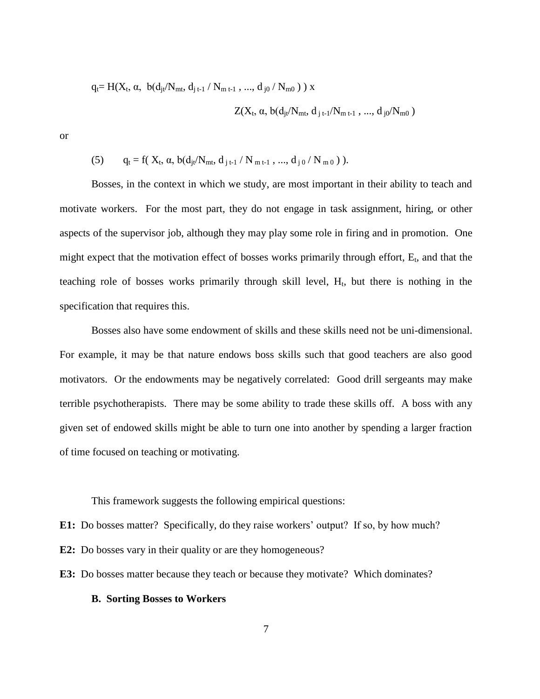$$
q_t\!\!=H(X_t,\alpha,\ b(d_{jt}\!/N_{mt},\,d_{j\,t\text{-}1}\,/\,N_{m\,t\text{-}1}\,,\,...,\,d_{j0}\,/\,N_{m0}\,)\,)\,x
$$

$$
Z(X_t, \alpha, b(d_{jt} / N_{mt}, d_{j t-1} / N_{m t-1}, ..., d_{j0} / N_{m0})
$$

or

(5) 
$$
q_t = f(X_t, \alpha, b(d_{jt} / N_{mt}, d_{j t-1} / N_{m t-1}, ..., d_{j 0} / N_{m 0})).
$$

Bosses, in the context in which we study, are most important in their ability to teach and motivate workers. For the most part, they do not engage in task assignment, hiring, or other aspects of the supervisor job, although they may play some role in firing and in promotion. One might expect that the motivation effect of bosses works primarily through effort,  $E_t$ , and that the teaching role of bosses works primarily through skill level,  $H_t$ , but there is nothing in the specification that requires this.

Bosses also have some endowment of skills and these skills need not be uni-dimensional. For example, it may be that nature endows boss skills such that good teachers are also good motivators. Or the endowments may be negatively correlated: Good drill sergeants may make terrible psychotherapists. There may be some ability to trade these skills off. A boss with any given set of endowed skills might be able to turn one into another by spending a larger fraction of time focused on teaching or motivating.

This framework suggests the following empirical questions:

**E1:** Do bosses matter? Specifically, do they raise workers' output? If so, by how much?

**E2:** Do bosses vary in their quality or are they homogeneous?

**E3:** Do bosses matter because they teach or because they motivate? Which dominates?

### **B. Sorting Bosses to Workers**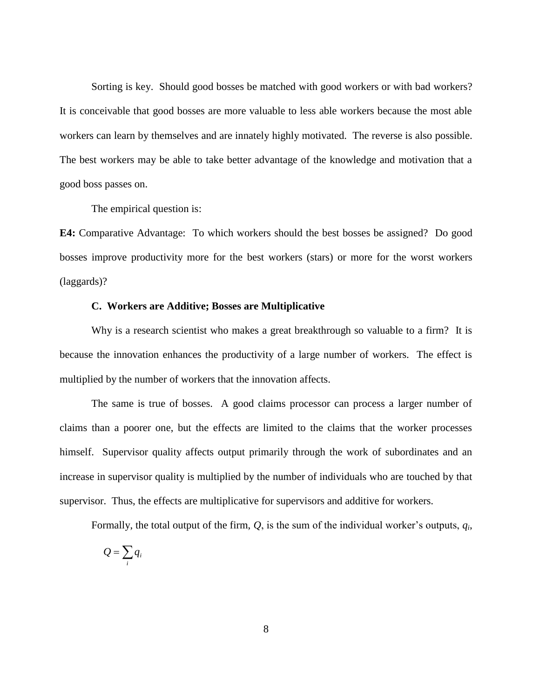Sorting is key. Should good bosses be matched with good workers or with bad workers? It is conceivable that good bosses are more valuable to less able workers because the most able workers can learn by themselves and are innately highly motivated. The reverse is also possible. The best workers may be able to take better advantage of the knowledge and motivation that a good boss passes on.

The empirical question is:

**E4:** Comparative Advantage: To which workers should the best bosses be assigned? Do good bosses improve productivity more for the best workers (stars) or more for the worst workers (laggards)?

### **C. Workers are Additive; Bosses are Multiplicative**

Why is a research scientist who makes a great breakthrough so valuable to a firm? It is because the innovation enhances the productivity of a large number of workers. The effect is multiplied by the number of workers that the innovation affects.

The same is true of bosses. A good claims processor can process a larger number of claims than a poorer one, but the effects are limited to the claims that the worker processes himself. Supervisor quality affects output primarily through the work of subordinates and an increase in supervisor quality is multiplied by the number of individuals who are touched by that supervisor. Thus, the effects are multiplicative for supervisors and additive for workers.

Formally, the total output of the firm, *Q*, is the sum of the individual worker's outputs, *q<sup>i</sup>* ,

$$
Q=\sum_i q_i
$$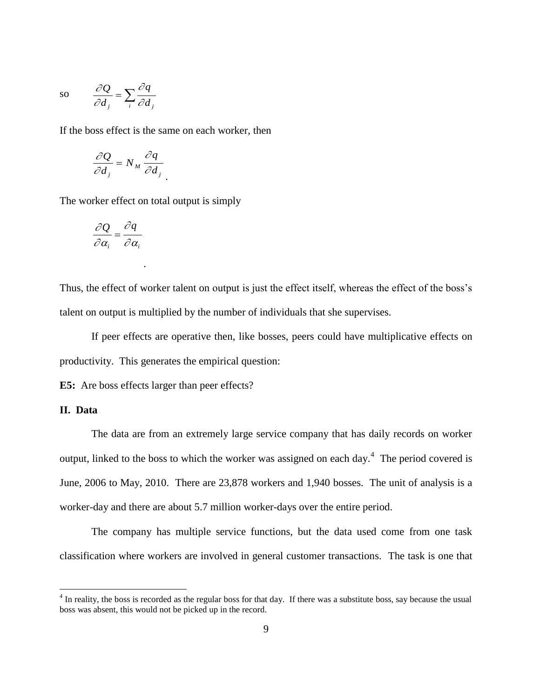so 
$$
\frac{\partial Q}{\partial d_j} = \sum_i \frac{\partial q}{\partial d_j}
$$

If the boss effect is the same on each worker, then

$$
\frac{\partial Q}{\partial d_j} = N_M \frac{\partial q}{\partial d_j}
$$

The worker effect on total output is simply

.

$$
\frac{\partial Q}{\partial \alpha_i} = \frac{\partial q}{\partial \alpha_i}
$$

Thus, the effect of worker talent on output is just the effect itself, whereas the effect of the boss's talent on output is multiplied by the number of individuals that she supervises.

If peer effects are operative then, like bosses, peers could have multiplicative effects on productivity. This generates the empirical question:

**E5:** Are boss effects larger than peer effects?

# **II. Data**

 $\overline{a}$ 

The data are from an extremely large service company that has daily records on worker output, linked to the boss to which the worker was assigned on each day. $4$  The period covered is June, 2006 to May, 2010. There are 23,878 workers and 1,940 bosses. The unit of analysis is a worker-day and there are about 5.7 million worker-days over the entire period.

The company has multiple service functions, but the data used come from one task classification where workers are involved in general customer transactions. The task is one that

<sup>&</sup>lt;sup>4</sup> In reality, the boss is recorded as the regular boss for that day. If there was a substitute boss, say because the usual boss was absent, this would not be picked up in the record.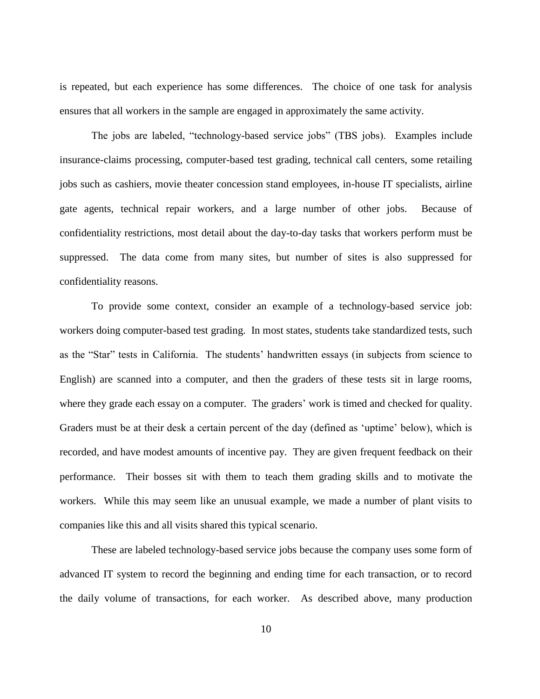is repeated, but each experience has some differences. The choice of one task for analysis ensures that all workers in the sample are engaged in approximately the same activity.

The jobs are labeled, "technology-based service jobs" (TBS jobs). Examples include insurance-claims processing, computer-based test grading, technical call centers, some retailing jobs such as cashiers, movie theater concession stand employees, in-house IT specialists, airline gate agents, technical repair workers, and a large number of other jobs. Because of confidentiality restrictions, most detail about the day-to-day tasks that workers perform must be suppressed. The data come from many sites, but number of sites is also suppressed for confidentiality reasons.

To provide some context, consider an example of a technology-based service job: workers doing computer-based test grading. In most states, students take standardized tests, such as the "Star" tests in California. The students' handwritten essays (in subjects from science to English) are scanned into a computer, and then the graders of these tests sit in large rooms, where they grade each essay on a computer. The graders' work is timed and checked for quality. Graders must be at their desk a certain percent of the day (defined as 'uptime' below), which is recorded, and have modest amounts of incentive pay. They are given frequent feedback on their performance. Their bosses sit with them to teach them grading skills and to motivate the workers. While this may seem like an unusual example, we made a number of plant visits to companies like this and all visits shared this typical scenario.

These are labeled technology-based service jobs because the company uses some form of advanced IT system to record the beginning and ending time for each transaction, or to record the daily volume of transactions, for each worker. As described above, many production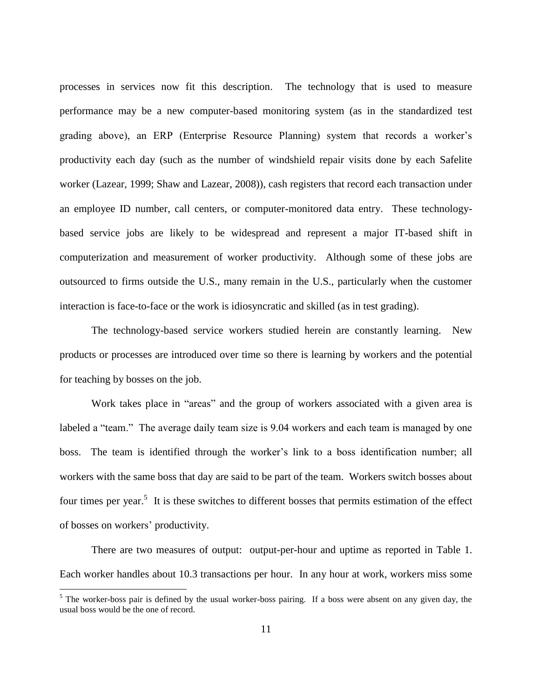processes in services now fit this description. The technology that is used to measure performance may be a new computer-based monitoring system (as in the standardized test grading above), an ERP (Enterprise Resource Planning) system that records a worker's productivity each day (such as the number of windshield repair visits done by each Safelite worker (Lazear, 1999; Shaw and Lazear, 2008)), cash registers that record each transaction under an employee ID number, call centers, or computer-monitored data entry. These technologybased service jobs are likely to be widespread and represent a major IT-based shift in computerization and measurement of worker productivity. Although some of these jobs are outsourced to firms outside the U.S., many remain in the U.S., particularly when the customer interaction is face-to-face or the work is idiosyncratic and skilled (as in test grading).

The technology-based service workers studied herein are constantly learning. New products or processes are introduced over time so there is learning by workers and the potential for teaching by bosses on the job.

Work takes place in "areas" and the group of workers associated with a given area is labeled a "team." The average daily team size is 9.04 workers and each team is managed by one boss. The team is identified through the worker's link to a boss identification number; all workers with the same boss that day are said to be part of the team. Workers switch bosses about four times per year.<sup>5</sup> It is these switches to different bosses that permits estimation of the effect of bosses on workers' productivity.

There are two measures of output: output-per-hour and uptime as reported in Table 1. Each worker handles about 10.3 transactions per hour. In any hour at work, workers miss some

 $\overline{a}$ 

 $<sup>5</sup>$  The worker-boss pair is defined by the usual worker-boss pairing. If a boss were absent on any given day, the</sup> usual boss would be the one of record.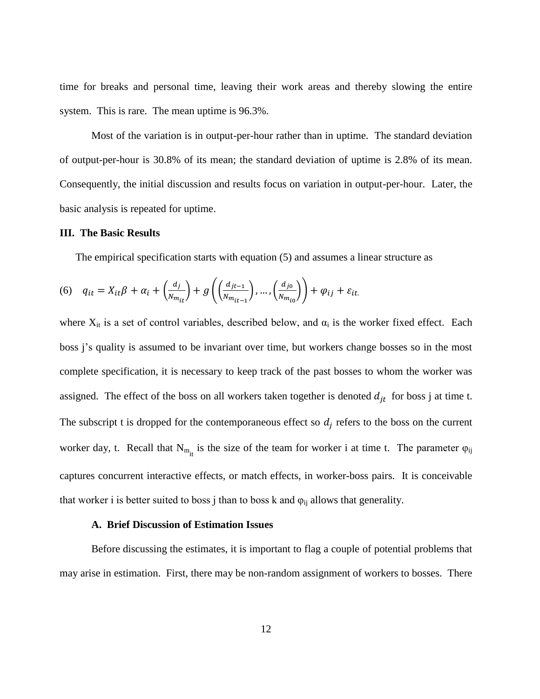time for breaks and personal time, leaving their work areas and thereby slowing the entire system. This is rare. The mean uptime is 96.3%.

Most of the variation is in output-per-hour rather than in uptime. The standard deviation of output-per-hour is 30.8% of its mean; the standard deviation of uptime is 2.8% of its mean. Consequently, the initial discussion and results focus on variation in output-per-hour. Later, the basic analysis is repeated for uptime.

### **III. The Basic Results**

The empirical specification starts with equation (5) and assumes a linear structure as

(6) 
$$
q_{it} = X_{it}\beta + \alpha_i + \left(\frac{d_j}{N_{m_{it}}}\right) + g\left(\left(\frac{d_{jt-1}}{N_{m_{it-1}}}\right), \dots, \left(\frac{d_{j0}}{N_{m_{i0}}}\right)\right) + \varphi_{ij} + \varepsilon_{it}.
$$

where  $X_{it}$  is a set of control variables, described below, and  $\alpha_i$  is the worker fixed effect. Each boss j's quality is assumed to be invariant over time, but workers change bosses so in the most complete specification, it is necessary to keep track of the past bosses to whom the worker was assigned. The effect of the boss on all workers taken together is denoted  $d_{it}$  for boss j at time t. The subscript t is dropped for the contemporaneous effect so  $d_i$  refers to the boss on the current worker day, t. Recall that  $N_{m_{it}}$  is the size of the team for worker i at time t. The parameter  $\varphi_{ij}$ captures concurrent interactive effects, or match effects, in worker-boss pairs. It is conceivable that worker i is better suited to boss j than to boss k and  $\varphi_{ij}$  allows that generality.

#### **A. Brief Discussion of Estimation Issues**

Before discussing the estimates, it is important to flag a couple of potential problems that may arise in estimation. First, there may be non-random assignment of workers to bosses. There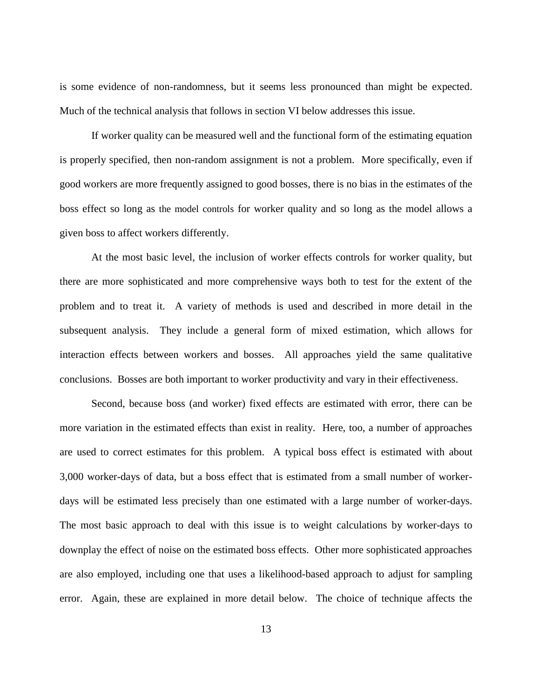is some evidence of non-randomness, but it seems less pronounced than might be expected. Much of the technical analysis that follows in section VI below addresses this issue.

If worker quality can be measured well and the functional form of the estimating equation is properly specified, then non-random assignment is not a problem. More specifically, even if good workers are more frequently assigned to good bosses, there is no bias in the estimates of the boss effect so long as the model controls for worker quality and so long as the model allows a given boss to affect workers differently.

At the most basic level, the inclusion of worker effects controls for worker quality, but there are more sophisticated and more comprehensive ways both to test for the extent of the problem and to treat it. A variety of methods is used and described in more detail in the subsequent analysis. They include a general form of mixed estimation, which allows for interaction effects between workers and bosses. All approaches yield the same qualitative conclusions. Bosses are both important to worker productivity and vary in their effectiveness.

Second, because boss (and worker) fixed effects are estimated with error, there can be more variation in the estimated effects than exist in reality. Here, too, a number of approaches are used to correct estimates for this problem. A typical boss effect is estimated with about 3,000 worker-days of data, but a boss effect that is estimated from a small number of workerdays will be estimated less precisely than one estimated with a large number of worker-days. The most basic approach to deal with this issue is to weight calculations by worker-days to downplay the effect of noise on the estimated boss effects. Other more sophisticated approaches are also employed, including one that uses a likelihood-based approach to adjust for sampling error. Again, these are explained in more detail below. The choice of technique affects the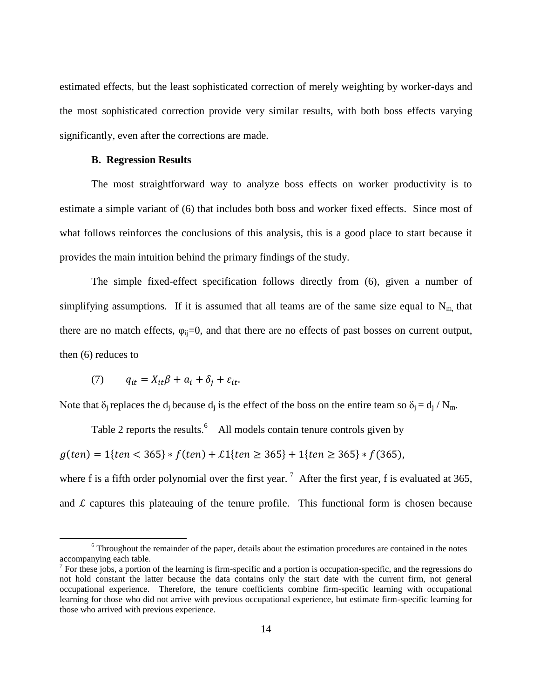estimated effects, but the least sophisticated correction of merely weighting by worker-days and the most sophisticated correction provide very similar results, with both boss effects varying significantly, even after the corrections are made.

### **B. Regression Results**

The most straightforward way to analyze boss effects on worker productivity is to estimate a simple variant of (6) that includes both boss and worker fixed effects. Since most of what follows reinforces the conclusions of this analysis, this is a good place to start because it provides the main intuition behind the primary findings of the study.

The simple fixed-effect specification follows directly from (6), given a number of simplifying assumptions. If it is assumed that all teams are of the same size equal to  $N<sub>m</sub>$ , that there are no match effects,  $\varphi_{ii}=0$ , and that there are no effects of past bosses on current output, then (6) reduces to

$$
(7) \qquad q_{it} = X_{it}\beta + a_i + \delta_i + \varepsilon_{it}.
$$

 $\overline{a}$ 

Note that  $\delta_i$  replaces the d<sub>i</sub> because d<sub>i</sub> is the effect of the boss on the entire team so  $\delta_i = d_i / N_m$ .

Table 2 reports the results.  $6$  All models contain tenure controls given by

 $g(ten) = 1\{ten < 365\} * f(ten) + L1\{ten \ge 365\} + 1\{ten \ge 365\} * f(365),$ 

where f is a fifth order polynomial over the first year.<sup>7</sup> After the first year, f is evaluated at 365, and  $\mathcal L$  captures this plateauing of the tenure profile. This functional form is chosen because

<sup>&</sup>lt;sup>6</sup> Throughout the remainder of the paper, details about the estimation procedures are contained in the notes accompanying each table.

 $<sup>7</sup>$  For these jobs, a portion of the learning is firm-specific and a portion is occupation-specific, and the regressions do</sup> not hold constant the latter because the data contains only the start date with the current firm, not general occupational experience. Therefore, the tenure coefficients combine firm-specific learning with occupational learning for those who did not arrive with previous occupational experience, but estimate firm-specific learning for those who arrived with previous experience.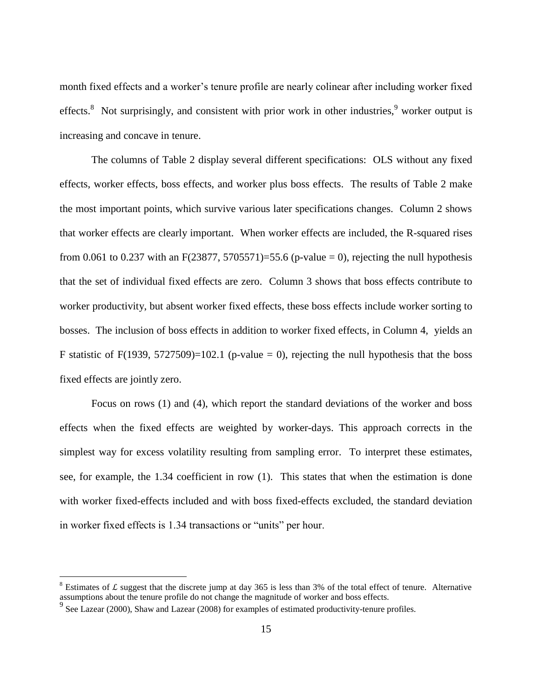month fixed effects and a worker's tenure profile are nearly colinear after including worker fixed effects.<sup>8</sup> Not surprisingly, and consistent with prior work in other industries,<sup>9</sup> worker output is increasing and concave in tenure.

The columns of Table 2 display several different specifications: OLS without any fixed effects, worker effects, boss effects, and worker plus boss effects. The results of Table 2 make the most important points, which survive various later specifications changes. Column 2 shows that worker effects are clearly important. When worker effects are included, the R-squared rises from 0.061 to 0.237 with an  $F(23877, 5705571)=55.6$  (p-value = 0), rejecting the null hypothesis that the set of individual fixed effects are zero. Column 3 shows that boss effects contribute to worker productivity, but absent worker fixed effects, these boss effects include worker sorting to bosses. The inclusion of boss effects in addition to worker fixed effects, in Column 4, yields an F statistic of  $F(1939, 5727509)=102.1$  (p-value = 0), rejecting the null hypothesis that the boss fixed effects are jointly zero.

Focus on rows (1) and (4), which report the standard deviations of the worker and boss effects when the fixed effects are weighted by worker-days. This approach corrects in the simplest way for excess volatility resulting from sampling error. To interpret these estimates, see, for example, the 1.34 coefficient in row (1). This states that when the estimation is done with worker fixed-effects included and with boss fixed-effects excluded, the standard deviation in worker fixed effects is 1.34 transactions or "units" per hour.

 $\overline{a}$ 

<sup>&</sup>lt;sup>8</sup> Estimates of L suggest that the discrete jump at day 365 is less than 3% of the total effect of tenure. Alternative assumptions about the tenure profile do not change the magnitude of worker and boss effects.

<sup>&</sup>lt;sup>9</sup> See Lazear (2000), Shaw and Lazear (2008) for examples of estimated productivity-tenure profiles.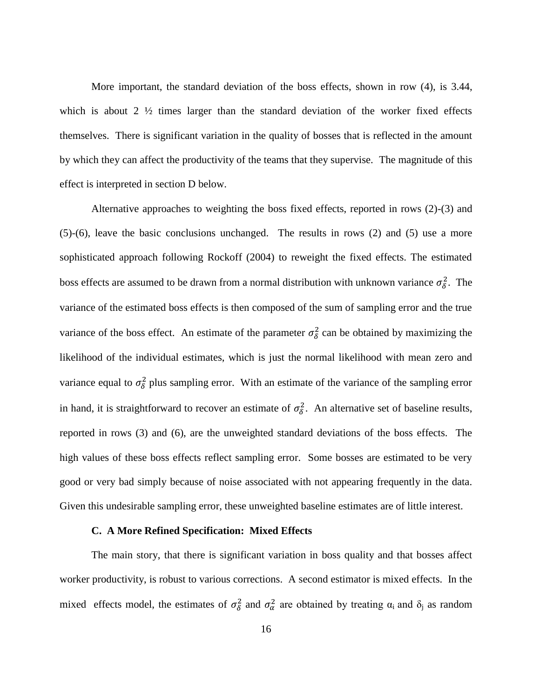More important, the standard deviation of the boss effects, shown in row (4), is 3.44, which is about  $2 \frac{1}{2}$  times larger than the standard deviation of the worker fixed effects themselves. There is significant variation in the quality of bosses that is reflected in the amount by which they can affect the productivity of the teams that they supervise. The magnitude of this effect is interpreted in section D below.

Alternative approaches to weighting the boss fixed effects, reported in rows (2)-(3) and (5)-(6), leave the basic conclusions unchanged. The results in rows (2) and (5) use a more sophisticated approach following Rockoff (2004) to reweight the fixed effects. The estimated boss effects are assumed to be drawn from a normal distribution with unknown variance  $\sigma_{\delta}^2$ . The variance of the estimated boss effects is then composed of the sum of sampling error and the true variance of the boss effect. An estimate of the parameter  $\sigma_{\delta}^2$  can be obtained by maximizing the likelihood of the individual estimates, which is just the normal likelihood with mean zero and variance equal to  $\sigma_{\delta}^2$  plus sampling error. With an estimate of the variance of the sampling error in hand, it is straightforward to recover an estimate of  $\sigma_{\delta}^2$ . An alternative set of baseline results, reported in rows (3) and (6), are the unweighted standard deviations of the boss effects. The high values of these boss effects reflect sampling error. Some bosses are estimated to be very good or very bad simply because of noise associated with not appearing frequently in the data. Given this undesirable sampling error, these unweighted baseline estimates are of little interest.

#### **C. A More Refined Specification: Mixed Effects**

The main story, that there is significant variation in boss quality and that bosses affect worker productivity, is robust to various corrections. A second estimator is mixed effects. In the mixed effects model, the estimates of  $\sigma_{\delta}^2$  and  $\sigma_{\alpha}^2$  are obtained by treating  $\alpha_i$  and  $\delta_i$  as random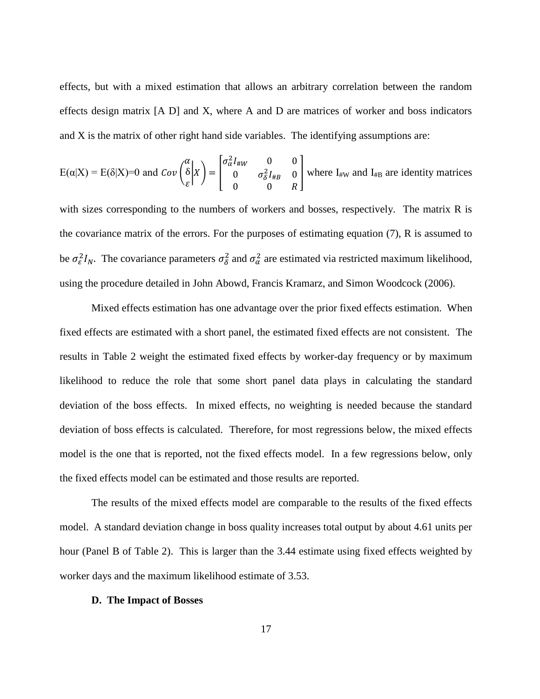effects, but with a mixed estimation that allows an arbitrary correlation between the random effects design matrix [A D] and X, where A and D are matrices of worker and boss indicators and X is the matrix of other right hand side variables. The identifying assumptions are:

$$
E(\alpha|X) = E(\delta|X) = 0 \text{ and } Cov\begin{pmatrix} \alpha \\ \delta \\ \varepsilon \end{pmatrix} X = \begin{bmatrix} \sigma_{\alpha}^2 I_{\#W} & 0 & 0 \\ 0 & \sigma_{\delta}^2 I_{\#B} & 0 \\ 0 & 0 & R \end{bmatrix}
$$
 where  $I_{\#W}$  and  $I_{\#B}$  are identity matrices

with sizes corresponding to the numbers of workers and bosses, respectively. The matrix R is the covariance matrix of the errors. For the purposes of estimating equation (7), R is assumed to be  $\sigma_{\epsilon}^2 I_N$ . The covariance parameters  $\sigma_{\delta}^2$  and  $\sigma_{\alpha}^2$  are estimated via restricted maximum likelihood, using the procedure detailed in John Abowd, Francis Kramarz, and Simon Woodcock (2006).

Mixed effects estimation has one advantage over the prior fixed effects estimation. When fixed effects are estimated with a short panel, the estimated fixed effects are not consistent. The results in Table 2 weight the estimated fixed effects by worker-day frequency or by maximum likelihood to reduce the role that some short panel data plays in calculating the standard deviation of the boss effects. In mixed effects, no weighting is needed because the standard deviation of boss effects is calculated. Therefore, for most regressions below, the mixed effects model is the one that is reported, not the fixed effects model. In a few regressions below, only the fixed effects model can be estimated and those results are reported.

The results of the mixed effects model are comparable to the results of the fixed effects model. A standard deviation change in boss quality increases total output by about 4.61 units per hour (Panel B of Table 2). This is larger than the 3.44 estimate using fixed effects weighted by worker days and the maximum likelihood estimate of 3.53.

#### **D. The Impact of Bosses**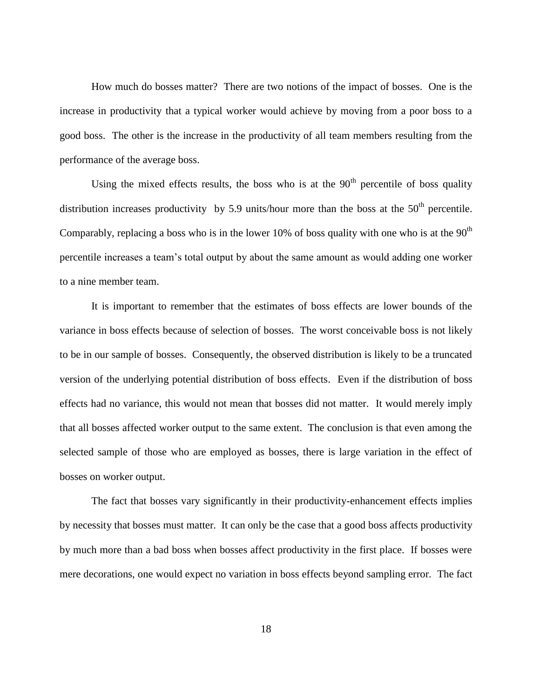How much do bosses matter? There are two notions of the impact of bosses. One is the increase in productivity that a typical worker would achieve by moving from a poor boss to a good boss. The other is the increase in the productivity of all team members resulting from the performance of the average boss.

Using the mixed effects results, the boss who is at the  $90<sup>th</sup>$  percentile of boss quality distribution increases productivity by 5.9 units/hour more than the boss at the  $50<sup>th</sup>$  percentile. Comparably, replacing a boss who is in the lower 10% of boss quality with one who is at the  $90<sup>th</sup>$ percentile increases a team's total output by about the same amount as would adding one worker to a nine member team.

It is important to remember that the estimates of boss effects are lower bounds of the variance in boss effects because of selection of bosses. The worst conceivable boss is not likely to be in our sample of bosses. Consequently, the observed distribution is likely to be a truncated version of the underlying potential distribution of boss effects. Even if the distribution of boss effects had no variance, this would not mean that bosses did not matter. It would merely imply that all bosses affected worker output to the same extent. The conclusion is that even among the selected sample of those who are employed as bosses, there is large variation in the effect of bosses on worker output.

The fact that bosses vary significantly in their productivity-enhancement effects implies by necessity that bosses must matter. It can only be the case that a good boss affects productivity by much more than a bad boss when bosses affect productivity in the first place. If bosses were mere decorations, one would expect no variation in boss effects beyond sampling error. The fact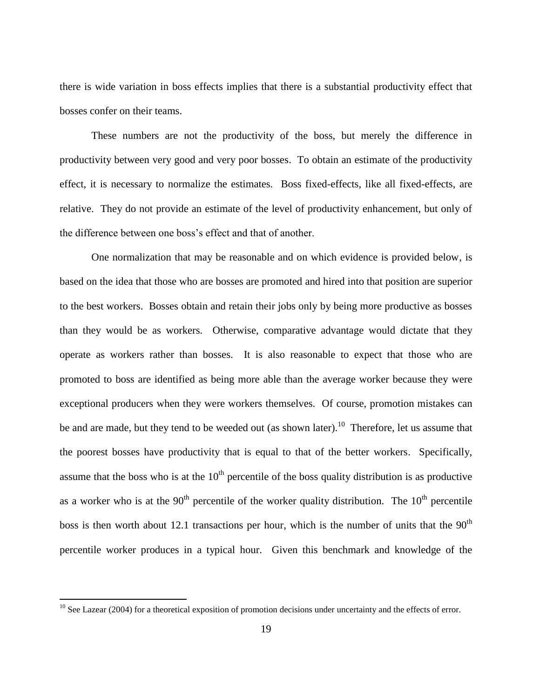there is wide variation in boss effects implies that there is a substantial productivity effect that bosses confer on their teams.

These numbers are not the productivity of the boss, but merely the difference in productivity between very good and very poor bosses. To obtain an estimate of the productivity effect, it is necessary to normalize the estimates. Boss fixed-effects, like all fixed-effects, are relative. They do not provide an estimate of the level of productivity enhancement, but only of the difference between one boss's effect and that of another.

One normalization that may be reasonable and on which evidence is provided below, is based on the idea that those who are bosses are promoted and hired into that position are superior to the best workers. Bosses obtain and retain their jobs only by being more productive as bosses than they would be as workers. Otherwise, comparative advantage would dictate that they operate as workers rather than bosses. It is also reasonable to expect that those who are promoted to boss are identified as being more able than the average worker because they were exceptional producers when they were workers themselves. Of course, promotion mistakes can be and are made, but they tend to be weeded out (as shown later).<sup>10</sup> Therefore, let us assume that the poorest bosses have productivity that is equal to that of the better workers. Specifically, assume that the boss who is at the  $10<sup>th</sup>$  percentile of the boss quality distribution is as productive as a worker who is at the  $90<sup>th</sup>$  percentile of the worker quality distribution. The  $10<sup>th</sup>$  percentile boss is then worth about 12.1 transactions per hour, which is the number of units that the  $90<sup>th</sup>$ percentile worker produces in a typical hour. Given this benchmark and knowledge of the

 $\overline{a}$ 

 $10$  See Lazear (2004) for a theoretical exposition of promotion decisions under uncertainty and the effects of error.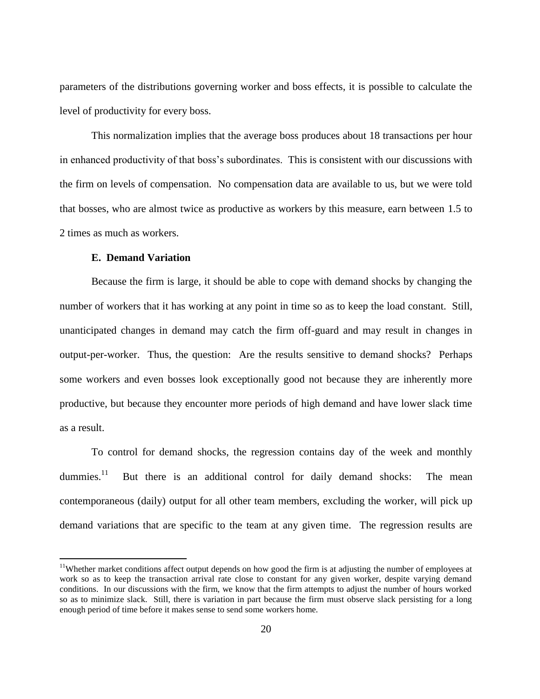parameters of the distributions governing worker and boss effects, it is possible to calculate the level of productivity for every boss.

This normalization implies that the average boss produces about 18 transactions per hour in enhanced productivity of that boss's subordinates. This is consistent with our discussions with the firm on levels of compensation. No compensation data are available to us, but we were told that bosses, who are almost twice as productive as workers by this measure, earn between 1.5 to 2 times as much as workers.

### **E. Demand Variation**

 $\overline{a}$ 

Because the firm is large, it should be able to cope with demand shocks by changing the number of workers that it has working at any point in time so as to keep the load constant. Still, unanticipated changes in demand may catch the firm off-guard and may result in changes in output-per-worker. Thus, the question: Are the results sensitive to demand shocks? Perhaps some workers and even bosses look exceptionally good not because they are inherently more productive, but because they encounter more periods of high demand and have lower slack time as a result.

To control for demand shocks, the regression contains day of the week and monthly dummies. $11$  But there is an additional control for daily demand shocks: The mean contemporaneous (daily) output for all other team members, excluding the worker, will pick up demand variations that are specific to the team at any given time. The regression results are

<sup>&</sup>lt;sup>11</sup>Whether market conditions affect output depends on how good the firm is at adjusting the number of employees at work so as to keep the transaction arrival rate close to constant for any given worker, despite varying demand conditions. In our discussions with the firm, we know that the firm attempts to adjust the number of hours worked so as to minimize slack. Still, there is variation in part because the firm must observe slack persisting for a long enough period of time before it makes sense to send some workers home.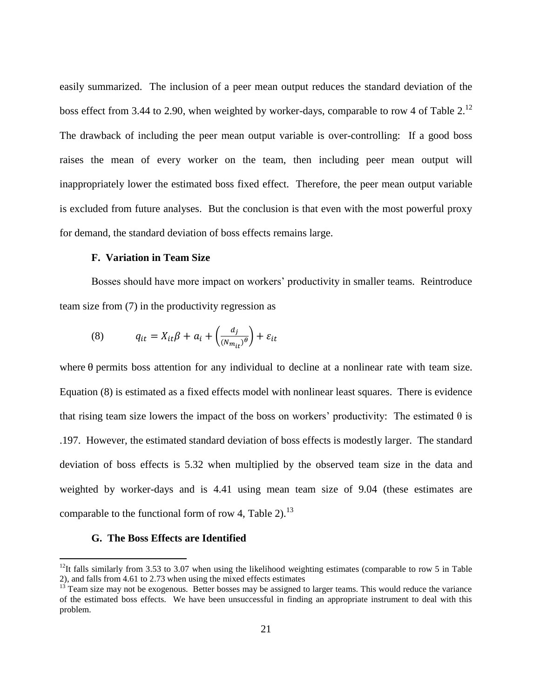easily summarized. The inclusion of a peer mean output reduces the standard deviation of the boss effect from 3.44 to 2.90, when weighted by worker-days, comparable to row 4 of Table  $2^{12}$ The drawback of including the peer mean output variable is over-controlling: If a good boss raises the mean of every worker on the team, then including peer mean output will inappropriately lower the estimated boss fixed effect. Therefore, the peer mean output variable is excluded from future analyses. But the conclusion is that even with the most powerful proxy for demand, the standard deviation of boss effects remains large.

### **F. Variation in Team Size**

Bosses should have more impact on workers' productivity in smaller teams. Reintroduce team size from (7) in the productivity regression as

(8) 
$$
q_{it} = X_{it}\beta + a_i + \left(\frac{d_j}{(N_{m_{it}})^{\theta}}\right) + \varepsilon_{it}
$$

where  $\theta$  permits boss attention for any individual to decline at a nonlinear rate with team size. Equation (8) is estimated as a fixed effects model with nonlinear least squares. There is evidence that rising team size lowers the impact of the boss on workers' productivity: The estimated  $\theta$  is .197. However, the estimated standard deviation of boss effects is modestly larger. The standard deviation of boss effects is 5.32 when multiplied by the observed team size in the data and weighted by worker-days and is 4.41 using mean team size of 9.04 (these estimates are comparable to the functional form of row 4, Table 2).<sup>13</sup>

### **G. The Boss Effects are Identified**

 $\overline{a}$ 

<sup>&</sup>lt;sup>12</sup>It falls similarly from 3.53 to 3.07 when using the likelihood weighting estimates (comparable to row 5 in Table 2), and falls from 4.61 to 2.73 when using the mixed effects estimates

Team size may not be exogenous. Better bosses may be assigned to larger teams. This would reduce the variance of the estimated boss effects. We have been unsuccessful in finding an appropriate instrument to deal with this problem.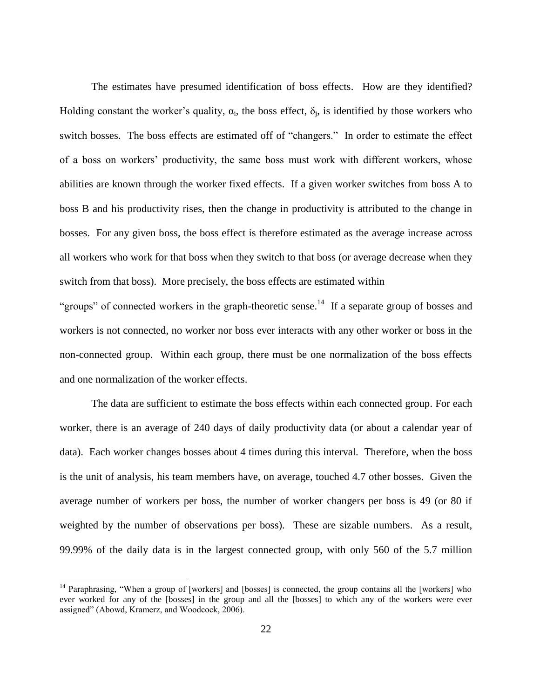The estimates have presumed identification of boss effects. How are they identified? Holding constant the worker's quality,  $\alpha_i$ , the boss effect,  $\delta_j$ , is identified by those workers who switch bosses. The boss effects are estimated off of "changers." In order to estimate the effect of a boss on workers' productivity, the same boss must work with different workers, whose abilities are known through the worker fixed effects. If a given worker switches from boss A to boss B and his productivity rises, then the change in productivity is attributed to the change in bosses. For any given boss, the boss effect is therefore estimated as the average increase across all workers who work for that boss when they switch to that boss (or average decrease when they switch from that boss). More precisely, the boss effects are estimated within

"groups" of connected workers in the graph-theoretic sense.<sup>14</sup> If a separate group of bosses and workers is not connected, no worker nor boss ever interacts with any other worker or boss in the non-connected group. Within each group, there must be one normalization of the boss effects and one normalization of the worker effects.

The data are sufficient to estimate the boss effects within each connected group. For each worker, there is an average of 240 days of daily productivity data (or about a calendar year of data). Each worker changes bosses about 4 times during this interval. Therefore, when the boss is the unit of analysis, his team members have, on average, touched 4.7 other bosses. Given the average number of workers per boss, the number of worker changers per boss is 49 (or 80 if weighted by the number of observations per boss). These are sizable numbers. As a result, 99.99% of the daily data is in the largest connected group, with only 560 of the 5.7 million

 $\overline{a}$ 

<sup>&</sup>lt;sup>14</sup> Paraphrasing, "When a group of [workers] and [bosses] is connected, the group contains all the [workers] who ever worked for any of the [bosses] in the group and all the [bosses] to which any of the workers were ever assigned" (Abowd, Kramerz, and Woodcock, 2006).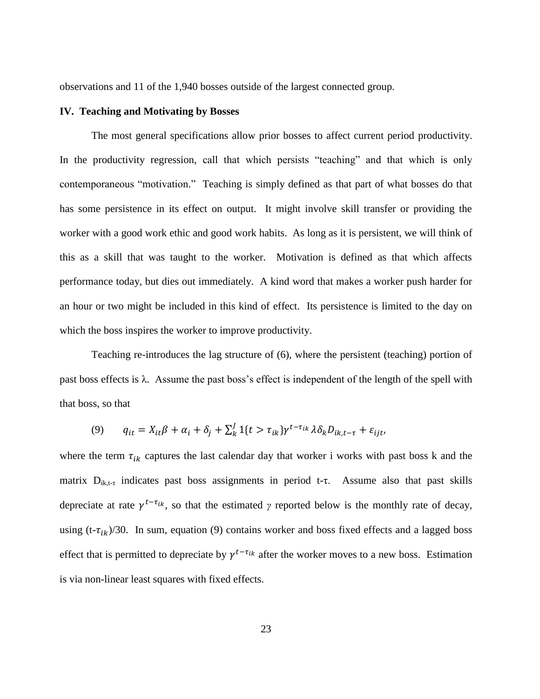observations and 11 of the 1,940 bosses outside of the largest connected group.

### **IV. Teaching and Motivating by Bosses**

The most general specifications allow prior bosses to affect current period productivity. In the productivity regression, call that which persists "teaching" and that which is only contemporaneous "motivation." Teaching is simply defined as that part of what bosses do that has some persistence in its effect on output. It might involve skill transfer or providing the worker with a good work ethic and good work habits. As long as it is persistent, we will think of this as a skill that was taught to the worker. Motivation is defined as that which affects performance today, but dies out immediately. A kind word that makes a worker push harder for an hour or two might be included in this kind of effect. Its persistence is limited to the day on which the boss inspires the worker to improve productivity.

Teaching re-introduces the lag structure of (6), where the persistent (teaching) portion of past boss effects is λ. Assume the past boss's effect is independent of the length of the spell with that boss, so that

$$
(9) \qquad q_{it} = X_{it}\beta + \alpha_i + \delta_j + \sum_{k=1}^{J} \mathbb{1}\{t > \tau_{ik}\} \gamma^{t-\tau_{ik}} \lambda \delta_k D_{ik,t-\tau} + \varepsilon_{ijt}.
$$

where the term  $\tau_{ik}$  captures the last calendar day that worker i works with past boss k and the matrix  $D_{ik,t-\tau}$  indicates past boss assignments in period t- $\tau$ . Assume also that past skills depreciate at rate  $\gamma^{t-\tau_{ik}}$ , so that the estimated  $\gamma$  reported below is the monthly rate of decay, using  $(t-\tau_{ik})/30$ . In sum, equation (9) contains worker and boss fixed effects and a lagged boss effect that is permitted to depreciate by  $\gamma^{t-\tau_{ik}}$  after the worker moves to a new boss. Estimation is via non-linear least squares with fixed effects.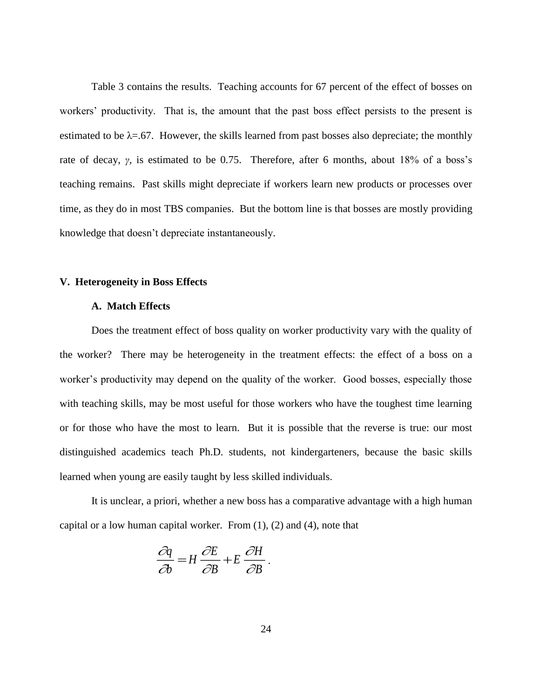Table 3 contains the results. Teaching accounts for 67 percent of the effect of bosses on workers' productivity. That is, the amount that the past boss effect persists to the present is estimated to be  $\lambda = .67$ . However, the skills learned from past bosses also depreciate; the monthly rate of decay, *γ,* is estimated to be 0.75. Therefore, after 6 months, about 18% of a boss's teaching remains. Past skills might depreciate if workers learn new products or processes over time, as they do in most TBS companies. But the bottom line is that bosses are mostly providing knowledge that doesn't depreciate instantaneously.

#### **V. Heterogeneity in Boss Effects**

### **A. Match Effects**

Does the treatment effect of boss quality on worker productivity vary with the quality of the worker? There may be heterogeneity in the treatment effects: the effect of a boss on a worker's productivity may depend on the quality of the worker. Good bosses, especially those with teaching skills, may be most useful for those workers who have the toughest time learning or for those who have the most to learn. But it is possible that the reverse is true: our most distinguished academics teach Ph.D. students, not kindergarteners, because the basic skills learned when young are easily taught by less skilled individuals.

It is unclear, a priori, whether a new boss has a comparative advantage with a high human capital or a low human capital worker. From  $(1)$ ,  $(2)$  and  $(4)$ , note that

$$
\frac{\partial q}{\partial b} = H \frac{\partial E}{\partial B} + E \frac{\partial H}{\partial B}.
$$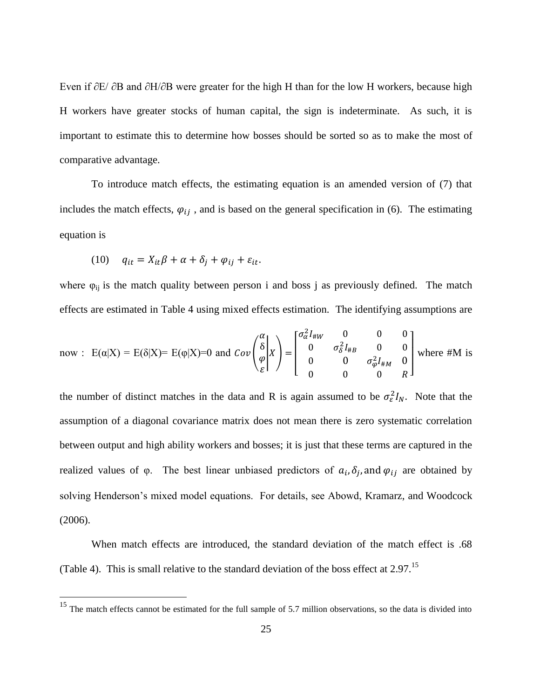Even if ∂E/ ∂B and ∂H/∂B were greater for the high H than for the low H workers, because high H workers have greater stocks of human capital, the sign is indeterminate. As such, it is important to estimate this to determine how bosses should be sorted so as to make the most of comparative advantage.

To introduce match effects, the estimating equation is an amended version of (7) that includes the match effects,  $\varphi_{ij}$ , and is based on the general specification in (6). The estimating equation is

$$
(10) \quad q_{it} = X_{it}\beta + \alpha + \delta_i + \varphi_{ij} + \varepsilon_{it}.
$$

 $\overline{a}$ 

where  $\varphi_{ij}$  is the match quality between person i and boss j as previously defined. The match effects are estimated in Table 4 using mixed effects estimation. The identifying assumptions are

now : 
$$
E(\alpha|X) = E(\delta|X) = E(\varphi|X) = 0
$$
 and  $Cov\begin{pmatrix} \alpha \\ \delta \\ \varphi \end{pmatrix} X = \begin{bmatrix} \sigma_{\alpha}^2 I_{\#W} & 0 & 0 & 0 \\ 0 & \sigma_{\delta}^2 I_{\#B} & 0 & 0 \\ 0 & 0 & \sigma_{\varphi}^2 I_{\#M} & 0 \\ 0 & 0 & 0 & R \end{bmatrix}$  where #M is

the number of distinct matches in the data and R is again assumed to be  $\sigma_{\varepsilon}^2 I_N$ . Note that the assumption of a diagonal covariance matrix does not mean there is zero systematic correlation between output and high ability workers and bosses; it is just that these terms are captured in the realized values of  $\varphi$ . The best linear unbiased predictors of  $a_i, \delta_i$ , and  $\varphi_{ij}$  are obtained by solving Henderson's mixed model equations. For details, see Abowd, Kramarz, and Woodcock (2006).

When match effects are introduced, the standard deviation of the match effect is .68 (Table 4). This is small relative to the standard deviation of the boss effect at 2.97.<sup>15</sup>

 $15$  The match effects cannot be estimated for the full sample of 5.7 million observations, so the data is divided into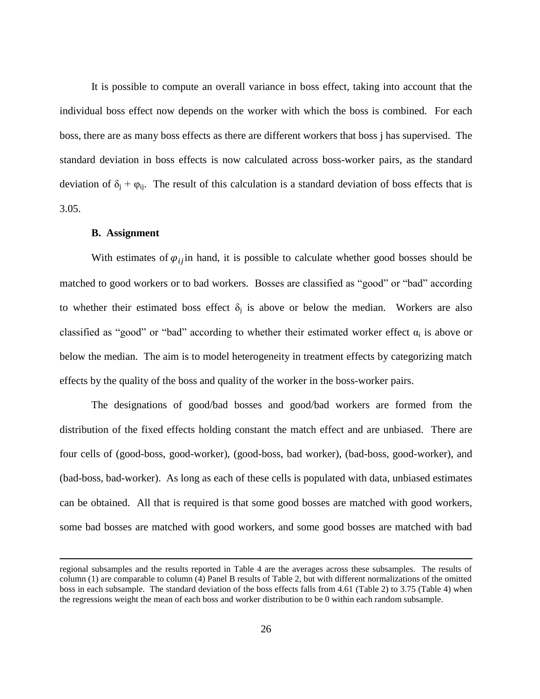It is possible to compute an overall variance in boss effect, taking into account that the individual boss effect now depends on the worker with which the boss is combined. For each boss, there are as many boss effects as there are different workers that boss j has supervised. The standard deviation in boss effects is now calculated across boss-worker pairs, as the standard deviation of  $\delta_i + \varphi_{ii}$ . The result of this calculation is a standard deviation of boss effects that is 3.05.

### **B. Assignment**

 $\overline{a}$ 

With estimates of  $\varphi_{ij}$  in hand, it is possible to calculate whether good bosses should be matched to good workers or to bad workers. Bosses are classified as "good" or "bad" according to whether their estimated boss effect  $\delta_i$  is above or below the median. Workers are also classified as "good" or "bad" according to whether their estimated worker effect  $\alpha_i$  is above or below the median. The aim is to model heterogeneity in treatment effects by categorizing match effects by the quality of the boss and quality of the worker in the boss-worker pairs.

The designations of good/bad bosses and good/bad workers are formed from the distribution of the fixed effects holding constant the match effect and are unbiased. There are four cells of (good-boss, good-worker), (good-boss, bad worker), (bad-boss, good-worker), and (bad-boss, bad-worker). As long as each of these cells is populated with data, unbiased estimates can be obtained. All that is required is that some good bosses are matched with good workers, some bad bosses are matched with good workers, and some good bosses are matched with bad

regional subsamples and the results reported in Table 4 are the averages across these subsamples. The results of column (1) are comparable to column (4) Panel B results of Table 2, but with different normalizations of the omitted boss in each subsample. The standard deviation of the boss effects falls from 4.61 (Table 2) to 3.75 (Table 4) when the regressions weight the mean of each boss and worker distribution to be 0 within each random subsample.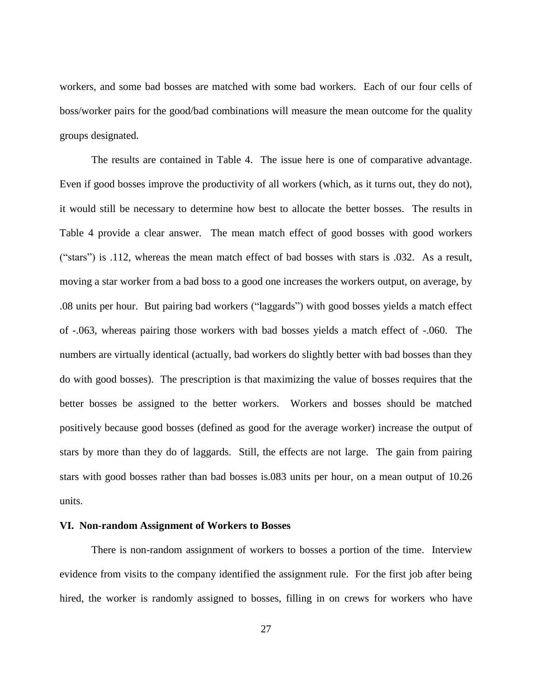workers, and some bad bosses are matched with some bad workers. Each of our four cells of boss/worker pairs for the good/bad combinations will measure the mean outcome for the quality groups designated.

The results are contained in Table 4. The issue here is one of comparative advantage. Even if good bosses improve the productivity of all workers (which, as it turns out, they do not), it would still be necessary to determine how best to allocate the better bosses. The results in Table 4 provide a clear answer. The mean match effect of good bosses with good workers ("stars") is .112, whereas the mean match effect of bad bosses with stars is .032. As a result, moving a star worker from a bad boss to a good one increases the workers output, on average, by .08 units per hour. But pairing bad workers ("laggards") with good bosses yields a match effect of -.063, whereas pairing those workers with bad bosses yields a match effect of -.060. The numbers are virtually identical (actually, bad workers do slightly better with bad bosses than they do with good bosses). The prescription is that maximizing the value of bosses requires that the better bosses be assigned to the better workers. Workers and bosses should be matched positively because good bosses (defined as good for the average worker) increase the output of stars by more than they do of laggards. Still, the effects are not large. The gain from pairing stars with good bosses rather than bad bosses is.083 units per hour, on a mean output of 10.26 units.

#### **VI. Non-random Assignment of Workers to Bosses**

There is non-random assignment of workers to bosses a portion of the time. Interview evidence from visits to the company identified the assignment rule. For the first job after being hired, the worker is randomly assigned to bosses, filling in on crews for workers who have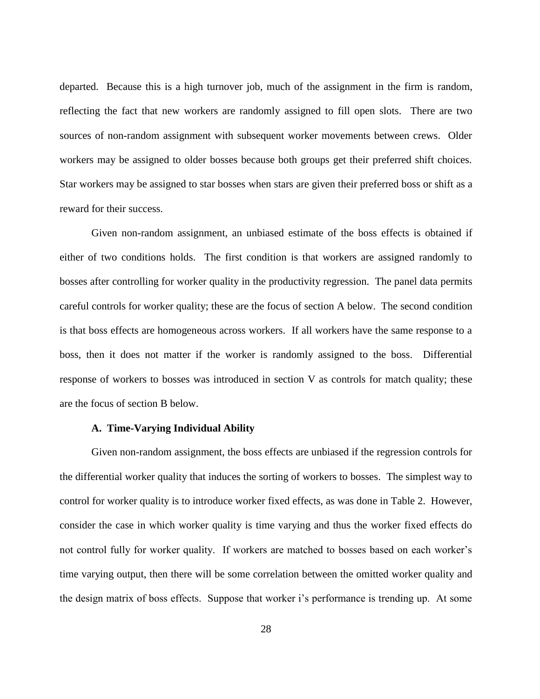departed. Because this is a high turnover job, much of the assignment in the firm is random, reflecting the fact that new workers are randomly assigned to fill open slots. There are two sources of non-random assignment with subsequent worker movements between crews. Older workers may be assigned to older bosses because both groups get their preferred shift choices. Star workers may be assigned to star bosses when stars are given their preferred boss or shift as a reward for their success.

Given non-random assignment, an unbiased estimate of the boss effects is obtained if either of two conditions holds. The first condition is that workers are assigned randomly to bosses after controlling for worker quality in the productivity regression. The panel data permits careful controls for worker quality; these are the focus of section A below. The second condition is that boss effects are homogeneous across workers. If all workers have the same response to a boss, then it does not matter if the worker is randomly assigned to the boss. Differential response of workers to bosses was introduced in section V as controls for match quality; these are the focus of section B below.

#### **A. Time-Varying Individual Ability**

Given non-random assignment, the boss effects are unbiased if the regression controls for the differential worker quality that induces the sorting of workers to bosses. The simplest way to control for worker quality is to introduce worker fixed effects, as was done in Table 2. However, consider the case in which worker quality is time varying and thus the worker fixed effects do not control fully for worker quality. If workers are matched to bosses based on each worker's time varying output, then there will be some correlation between the omitted worker quality and the design matrix of boss effects. Suppose that worker i's performance is trending up. At some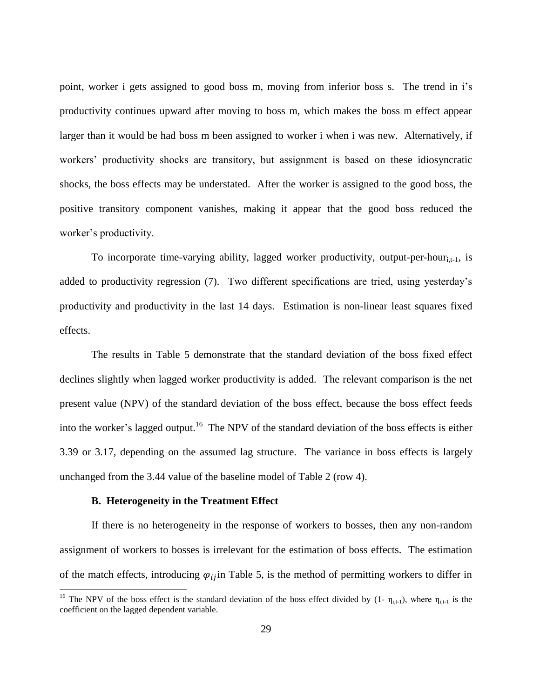point, worker i gets assigned to good boss m, moving from inferior boss s. The trend in i's productivity continues upward after moving to boss m, which makes the boss m effect appear larger than it would be had boss m been assigned to worker i when i was new. Alternatively, if workers' productivity shocks are transitory, but assignment is based on these idiosyncratic shocks, the boss effects may be understated. After the worker is assigned to the good boss, the positive transitory component vanishes, making it appear that the good boss reduced the worker's productivity.

To incorporate time-varying ability, lagged worker productivity, output-per-hour $_{i,t-1}$ , is added to productivity regression (7). Two different specifications are tried, using yesterday's productivity and productivity in the last 14 days. Estimation is non-linear least squares fixed effects.

The results in Table 5 demonstrate that the standard deviation of the boss fixed effect declines slightly when lagged worker productivity is added. The relevant comparison is the net present value (NPV) of the standard deviation of the boss effect, because the boss effect feeds into the worker's lagged output.<sup>16</sup> The NPV of the standard deviation of the boss effects is either 3.39 or 3.17, depending on the assumed lag structure. The variance in boss effects is largely unchanged from the 3.44 value of the baseline model of Table 2 (row 4).

#### **B. Heterogeneity in the Treatment Effect**

 $\overline{a}$ 

If there is no heterogeneity in the response of workers to bosses, then any non-random assignment of workers to bosses is irrelevant for the estimation of boss effects. The estimation of the match effects, introducing  $\varphi_{ij}$  in Table 5, is the method of permitting workers to differ in

<sup>&</sup>lt;sup>16</sup> The NPV of the boss effect is the standard deviation of the boss effect divided by  $(1 - \eta_{i,t-1})$ , where  $\eta_{i,t-1}$  is the coefficient on the lagged dependent variable.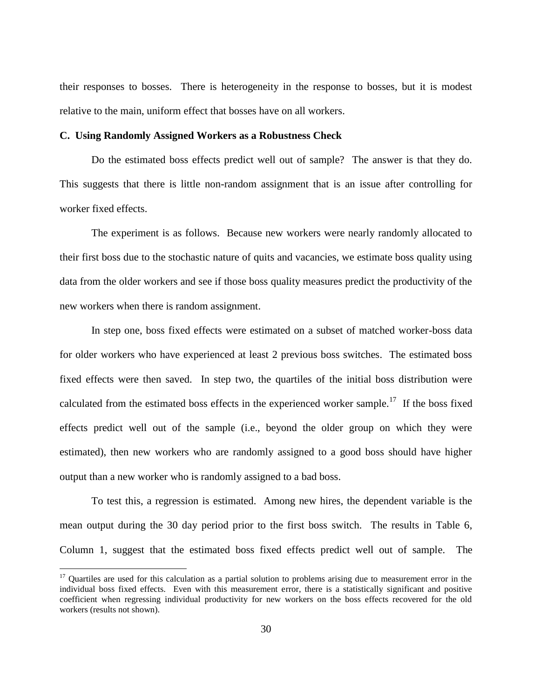their responses to bosses. There is heterogeneity in the response to bosses, but it is modest relative to the main, uniform effect that bosses have on all workers.

### **C. Using Randomly Assigned Workers as a Robustness Check**

Do the estimated boss effects predict well out of sample? The answer is that they do. This suggests that there is little non-random assignment that is an issue after controlling for worker fixed effects.

The experiment is as follows. Because new workers were nearly randomly allocated to their first boss due to the stochastic nature of quits and vacancies, we estimate boss quality using data from the older workers and see if those boss quality measures predict the productivity of the new workers when there is random assignment.

In step one, boss fixed effects were estimated on a subset of matched worker-boss data for older workers who have experienced at least 2 previous boss switches. The estimated boss fixed effects were then saved. In step two, the quartiles of the initial boss distribution were calculated from the estimated boss effects in the experienced worker sample.<sup>17</sup> If the boss fixed effects predict well out of the sample (i.e., beyond the older group on which they were estimated), then new workers who are randomly assigned to a good boss should have higher output than a new worker who is randomly assigned to a bad boss.

To test this, a regression is estimated. Among new hires, the dependent variable is the mean output during the 30 day period prior to the first boss switch. The results in Table 6, Column 1, suggest that the estimated boss fixed effects predict well out of sample. The

 $\overline{a}$ 

 $17$  Quartiles are used for this calculation as a partial solution to problems arising due to measurement error in the individual boss fixed effects. Even with this measurement error, there is a statistically significant and positive coefficient when regressing individual productivity for new workers on the boss effects recovered for the old workers (results not shown).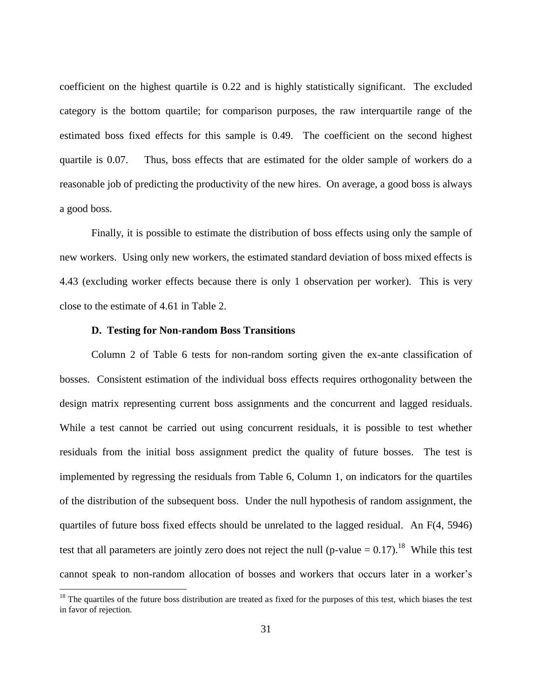coefficient on the highest quartile is 0.22 and is highly statistically significant. The excluded category is the bottom quartile; for comparison purposes, the raw interquartile range of the estimated boss fixed effects for this sample is 0.49. The coefficient on the second highest quartile is 0.07. Thus, boss effects that are estimated for the older sample of workers do a reasonable job of predicting the productivity of the new hires. On average, a good boss is always a good boss.

Finally, it is possible to estimate the distribution of boss effects using only the sample of new workers. Using only new workers, the estimated standard deviation of boss mixed effects is 4.43 (excluding worker effects because there is only 1 observation per worker). This is very close to the estimate of 4.61 in Table 2.

#### **D. Testing for Non-random Boss Transitions**

 $\overline{a}$ 

Column 2 of Table 6 tests for non-random sorting given the ex-ante classification of bosses. Consistent estimation of the individual boss effects requires orthogonality between the design matrix representing current boss assignments and the concurrent and lagged residuals. While a test cannot be carried out using concurrent residuals, it is possible to test whether residuals from the initial boss assignment predict the quality of future bosses. The test is implemented by regressing the residuals from Table 6, Column 1, on indicators for the quartiles of the distribution of the subsequent boss. Under the null hypothesis of random assignment, the quartiles of future boss fixed effects should be unrelated to the lagged residual. An F(4, 5946) test that all parameters are jointly zero does not reject the null (p-value  $= 0.17$ ).<sup>18</sup> While this test cannot speak to non-random allocation of bosses and workers that occurs later in a worker's

 $<sup>18</sup>$  The quartiles of the future boss distribution are treated as fixed for the purposes of this test, which biases the test</sup> in favor of rejection.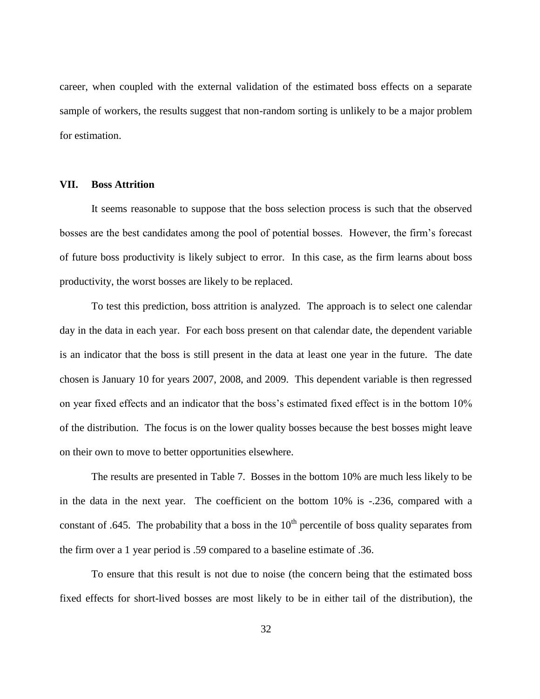career, when coupled with the external validation of the estimated boss effects on a separate sample of workers, the results suggest that non-random sorting is unlikely to be a major problem for estimation.

### **VII. Boss Attrition**

It seems reasonable to suppose that the boss selection process is such that the observed bosses are the best candidates among the pool of potential bosses. However, the firm's forecast of future boss productivity is likely subject to error. In this case, as the firm learns about boss productivity, the worst bosses are likely to be replaced.

To test this prediction, boss attrition is analyzed. The approach is to select one calendar day in the data in each year. For each boss present on that calendar date, the dependent variable is an indicator that the boss is still present in the data at least one year in the future. The date chosen is January 10 for years 2007, 2008, and 2009. This dependent variable is then regressed on year fixed effects and an indicator that the boss's estimated fixed effect is in the bottom 10% of the distribution. The focus is on the lower quality bosses because the best bosses might leave on their own to move to better opportunities elsewhere.

The results are presented in Table 7. Bosses in the bottom 10% are much less likely to be in the data in the next year. The coefficient on the bottom 10% is -.236, compared with a constant of .645. The probability that a boss in the  $10<sup>th</sup>$  percentile of boss quality separates from the firm over a 1 year period is .59 compared to a baseline estimate of .36.

To ensure that this result is not due to noise (the concern being that the estimated boss fixed effects for short-lived bosses are most likely to be in either tail of the distribution), the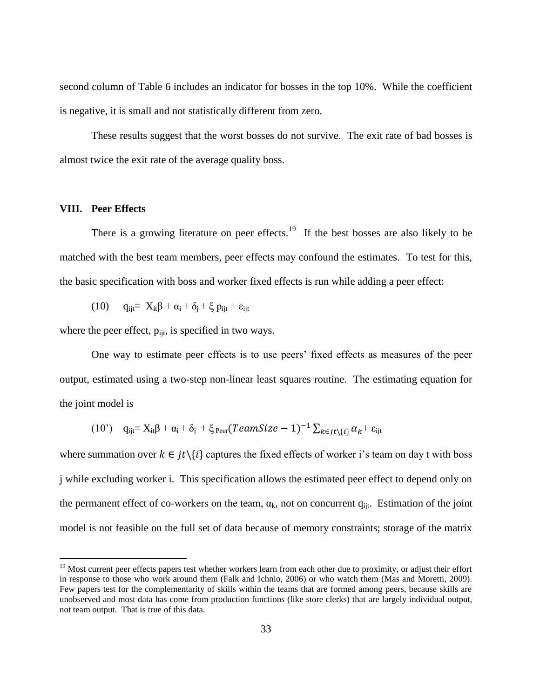second column of Table 6 includes an indicator for bosses in the top 10%. While the coefficient is negative, it is small and not statistically different from zero.

These results suggest that the worst bosses do not survive. The exit rate of bad bosses is almost twice the exit rate of the average quality boss.

### **VIII. Peer Effects**

 $\overline{a}$ 

There is a growing literature on peer effects.<sup>19</sup> If the best bosses are also likely to be matched with the best team members, peer effects may confound the estimates. To test for this, the basic specification with boss and worker fixed effects is run while adding a peer effect:

$$
(10) \qquad q_{ijt} = \ X_{it} \beta + \alpha_i + \delta_j + \xi \ p_{ijt} + \epsilon_{ijt}
$$

where the peer effect,  $p_{\text{iit}}$ , is specified in two ways.

One way to estimate peer effects is to use peers' fixed effects as measures of the peer output, estimated using a two-step non-linear least squares routine. The estimating equation for the joint model is

$$
(10') \quad q_{ijt} = X_{it}\beta + \alpha_i + \delta_j + \xi_{\text{Per}}(TeamSize - 1)^{-1} \sum_{k \in jt \setminus \{i\}} \alpha_k + \epsilon_{ijt}
$$

where summation over  $k \in it \setminus \{i\}$  captures the fixed effects of worker i's team on day t with boss j while excluding worker i. This specification allows the estimated peer effect to depend only on the permanent effect of co-workers on the team,  $\alpha_k$ , not on concurrent  $q_{iit}$ . Estimation of the joint model is not feasible on the full set of data because of memory constraints; storage of the matrix

<sup>&</sup>lt;sup>19</sup> Most current peer effects papers test whether workers learn from each other due to proximity, or adjust their effort in response to those who work around them (Falk and Ichnio, 2006) or who watch them (Mas and Moretti, 2009). Few papers test for the complementarity of skills within the teams that are formed among peers, because skills are unobserved and most data has come from production functions (like store clerks) that are largely individual output, not team output. That is true of this data.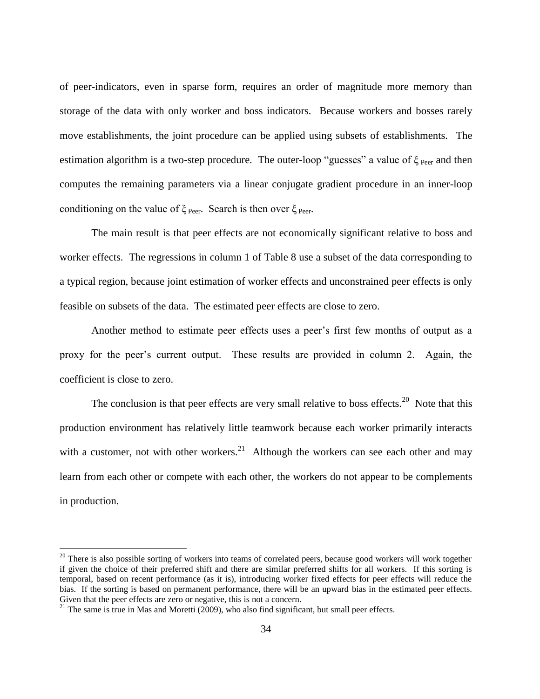of peer-indicators, even in sparse form, requires an order of magnitude more memory than storage of the data with only worker and boss indicators. Because workers and bosses rarely move establishments, the joint procedure can be applied using subsets of establishments. The estimation algorithm is a two-step procedure. The outer-loop "guesses" a value of  $\xi_{\text{Per}}$  and then computes the remaining parameters via a linear conjugate gradient procedure in an inner-loop conditioning on the value of  $\xi_{\text{peer}}$ . Search is then over  $\xi_{\text{peer}}$ .

The main result is that peer effects are not economically significant relative to boss and worker effects. The regressions in column 1 of Table 8 use a subset of the data corresponding to a typical region, because joint estimation of worker effects and unconstrained peer effects is only feasible on subsets of the data. The estimated peer effects are close to zero.

Another method to estimate peer effects uses a peer's first few months of output as a proxy for the peer's current output. These results are provided in column 2. Again, the coefficient is close to zero.

The conclusion is that peer effects are very small relative to boss effects.<sup>20</sup> Note that this production environment has relatively little teamwork because each worker primarily interacts with a customer, not with other workers.<sup>21</sup> Although the workers can see each other and may learn from each other or compete with each other, the workers do not appear to be complements in production.

 $\overline{a}$ 

 $20$  There is also possible sorting of workers into teams of correlated peers, because good workers will work together if given the choice of their preferred shift and there are similar preferred shifts for all workers. If this sorting is temporal, based on recent performance (as it is), introducing worker fixed effects for peer effects will reduce the bias. If the sorting is based on permanent performance, there will be an upward bias in the estimated peer effects. Given that the peer effects are zero or negative, this is not a concern.

 $21$  The same is true in Mas and Moretti (2009), who also find significant, but small peer effects.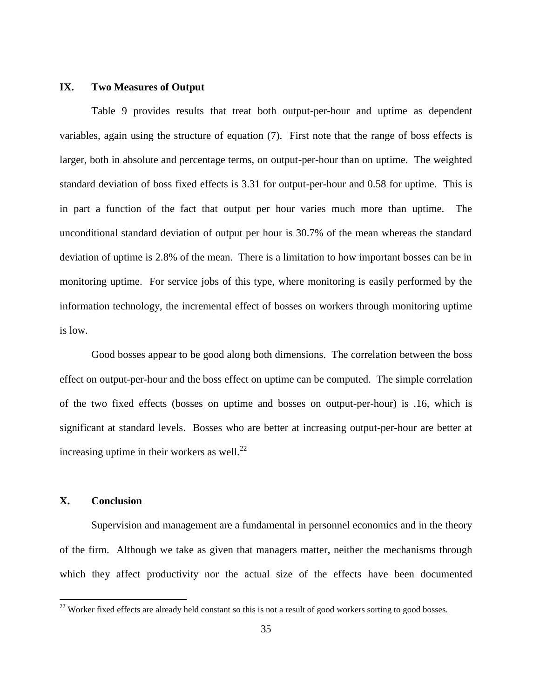### **IX. Two Measures of Output**

Table 9 provides results that treat both output-per-hour and uptime as dependent variables, again using the structure of equation (7). First note that the range of boss effects is larger, both in absolute and percentage terms, on output-per-hour than on uptime. The weighted standard deviation of boss fixed effects is 3.31 for output-per-hour and 0.58 for uptime. This is in part a function of the fact that output per hour varies much more than uptime. The unconditional standard deviation of output per hour is 30.7% of the mean whereas the standard deviation of uptime is 2.8% of the mean. There is a limitation to how important bosses can be in monitoring uptime. For service jobs of this type, where monitoring is easily performed by the information technology, the incremental effect of bosses on workers through monitoring uptime is low.

Good bosses appear to be good along both dimensions. The correlation between the boss effect on output-per-hour and the boss effect on uptime can be computed. The simple correlation of the two fixed effects (bosses on uptime and bosses on output-per-hour) is .16, which is significant at standard levels. Bosses who are better at increasing output-per-hour are better at increasing uptime in their workers as well. $^{22}$ 

# **X. Conclusion**

 $\overline{a}$ 

Supervision and management are a fundamental in personnel economics and in the theory of the firm. Although we take as given that managers matter, neither the mechanisms through which they affect productivity nor the actual size of the effects have been documented

 $22$  Worker fixed effects are already held constant so this is not a result of good workers sorting to good bosses.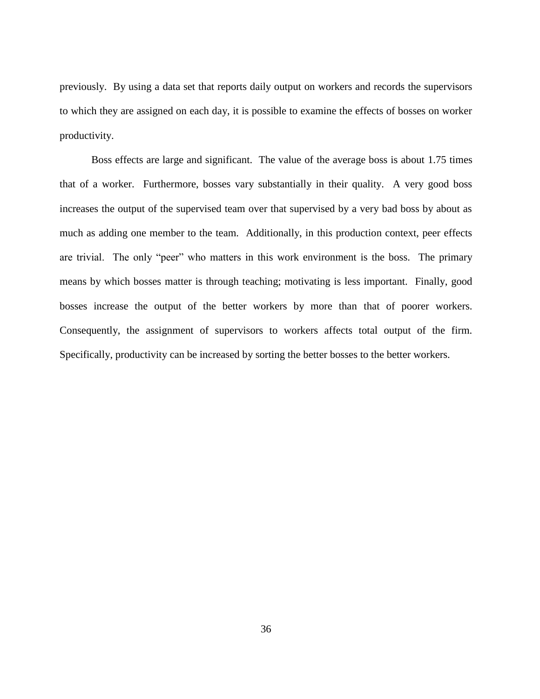previously. By using a data set that reports daily output on workers and records the supervisors to which they are assigned on each day, it is possible to examine the effects of bosses on worker productivity.

Boss effects are large and significant. The value of the average boss is about 1.75 times that of a worker. Furthermore, bosses vary substantially in their quality. A very good boss increases the output of the supervised team over that supervised by a very bad boss by about as much as adding one member to the team. Additionally, in this production context, peer effects are trivial. The only "peer" who matters in this work environment is the boss. The primary means by which bosses matter is through teaching; motivating is less important. Finally, good bosses increase the output of the better workers by more than that of poorer workers. Consequently, the assignment of supervisors to workers affects total output of the firm. Specifically, productivity can be increased by sorting the better bosses to the better workers.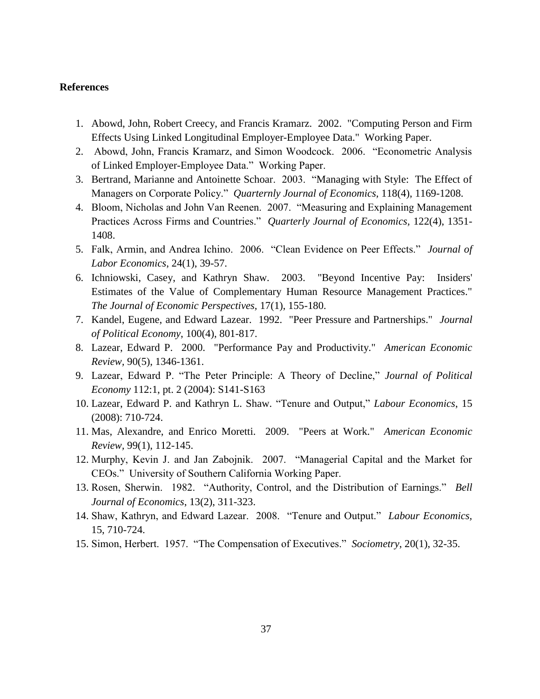### **References**

- 1. Abowd, John, Robert Creecy, and Francis Kramarz. 2002. "Computing Person and Firm Effects Using Linked Longitudinal Employer-Employee Data." Working Paper.
- 2. Abowd, John, Francis Kramarz, and Simon Woodcock. 2006. "Econometric Analysis of Linked Employer-Employee Data." Working Paper.
- 3. Bertrand, Marianne and Antoinette Schoar. 2003. "Managing with Style: The Effect of Managers on Corporate Policy." *Quarternly Journal of Economics,* 118(4), 1169-1208.
- 4. Bloom, Nicholas and John Van Reenen. 2007. "Measuring and Explaining Management Practices Across Firms and Countries." *Quarterly Journal of Economics,* 122(4), 1351- 1408.
- 5. Falk, Armin, and Andrea Ichino. 2006. "Clean Evidence on Peer Effects." *Journal of Labor Economics*, 24(1), 39-57.
- 6. Ichniowski, Casey, and Kathryn Shaw. 2003. "Beyond Incentive Pay: Insiders' Estimates of the Value of Complementary Human Resource Management Practices." *The Journal of Economic Perspectives,* 17(1), 155-180.
- 7. Kandel, Eugene, and Edward Lazear. 1992. "Peer Pressure and Partnerships." *Journal of Political Economy*, 100(4), 801-817.
- 8. Lazear, Edward P. 2000. "Performance Pay and Productivity." *American Economic Review,* 90(5), 1346-1361.
- 9. Lazear, Edward P. "The Peter Principle: A Theory of Decline," *Journal of Political Economy* 112:1, pt. 2 (2004): S141-S163
- 10. Lazear, Edward P. and Kathryn L. Shaw. "Tenure and Output," *Labour Economics*, 15 (2008): 710-724.
- 11. Mas, Alexandre, and Enrico Moretti. 2009. "Peers at Work." *American Economic Review,* 99(1), 112-145.
- 12. Murphy, Kevin J. and Jan Zabojnik. 2007. "Managerial Capital and the Market for CEOs." University of Southern California Working Paper.
- 13. Rosen, Sherwin. 1982. "Authority, Control, and the Distribution of Earnings." *Bell Journal of Economics*, 13(2), 311-323.
- 14. Shaw, Kathryn, and Edward Lazear. 2008. "Tenure and Output." *Labour Economics,*  15, 710-724.
- 15. Simon, Herbert. 1957. "The Compensation of Executives." *Sociometry*, 20(1), 32-35.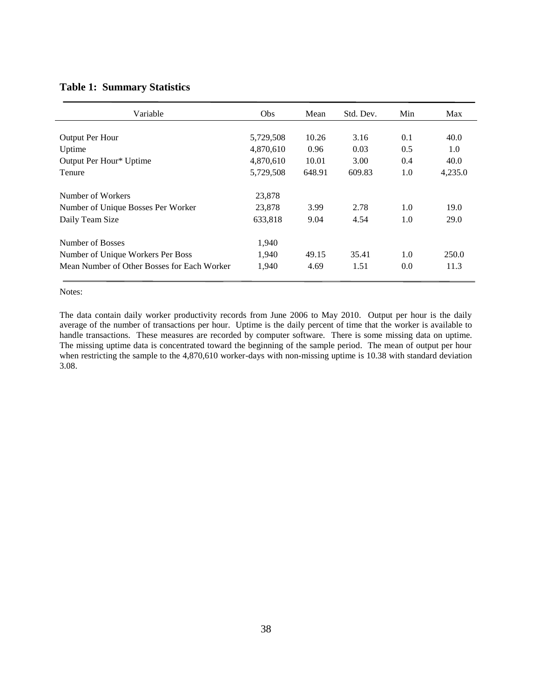### **Table 1: Summary Statistics**

| Variable                                    | Obs       | Mean   | Std. Dev. | Min | Max     |
|---------------------------------------------|-----------|--------|-----------|-----|---------|
|                                             |           |        |           |     |         |
| Output Per Hour                             | 5,729,508 | 10.26  | 3.16      | 0.1 | 40.0    |
| Uptime                                      | 4,870,610 | 0.96   | 0.03      | 0.5 | 1.0     |
| Output Per Hour* Uptime                     | 4,870,610 | 10.01  | 3.00      | 0.4 | 40.0    |
| Tenure                                      | 5,729,508 | 648.91 | 609.83    | 1.0 | 4,235.0 |
| Number of Workers                           | 23,878    |        |           |     |         |
| Number of Unique Bosses Per Worker          | 23,878    | 3.99   | 2.78      | 1.0 | 19.0    |
| Daily Team Size                             | 633,818   | 9.04   | 4.54      | 1.0 | 29.0    |
| Number of Bosses                            | 1,940     |        |           |     |         |
| Number of Unique Workers Per Boss           | 1,940     | 49.15  | 35.41     | 1.0 | 250.0   |
| Mean Number of Other Bosses for Each Worker | 1.940     | 4.69   | 1.51      | 0.0 | 11.3    |

Notes:

The data contain daily worker productivity records from June 2006 to May 2010. Output per hour is the daily average of the number of transactions per hour. Uptime is the daily percent of time that the worker is available to handle transactions. These measures are recorded by computer software. There is some missing data on uptime. The missing uptime data is concentrated toward the beginning of the sample period. The mean of output per hour when restricting the sample to the 4,870,610 worker-days with non-missing uptime is 10.38 with standard deviation 3.08.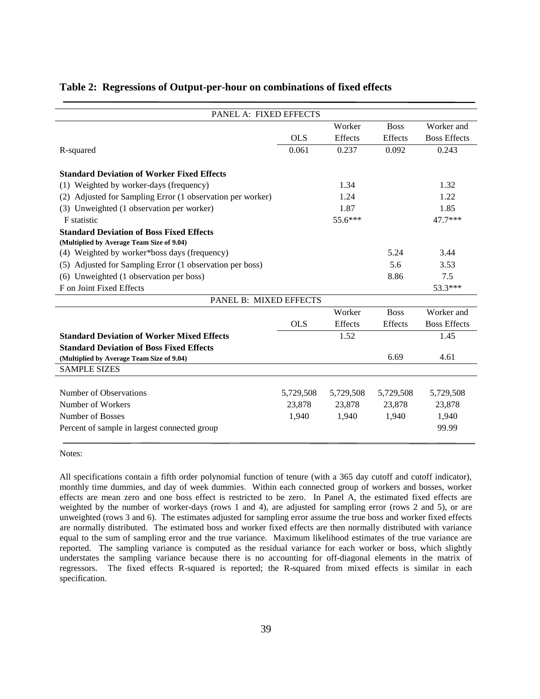| PANEL A: FIXED EFFECTS                                        |            |                |                |                     |
|---------------------------------------------------------------|------------|----------------|----------------|---------------------|
|                                                               |            | Worker         | <b>Boss</b>    | Worker and          |
|                                                               | <b>OLS</b> | Effects        | Effects        | <b>Boss Effects</b> |
| R-squared                                                     | 0.061      | 0.237          | 0.092          | 0.243               |
| <b>Standard Deviation of Worker Fixed Effects</b>             |            |                |                |                     |
| (1) Weighted by worker-days (frequency)                       |            | 1.34           |                | 1.32                |
|                                                               |            |                |                |                     |
| Adjusted for Sampling Error (1 observation per worker)<br>(2) |            | 1.24           |                | 1.22                |
| (3) Unweighted (1 observation per worker)                     |            | 1.87           |                | 1.85                |
| <b>F</b> statistic                                            |            | $55.6***$      |                | 47.7***             |
| <b>Standard Deviation of Boss Fixed Effects</b>               |            |                |                |                     |
| (Multiplied by Average Team Size of 9.04)                     |            |                |                |                     |
| (4) Weighted by worker*boss days (frequency)                  |            |                | 5.24           | 3.44                |
| Adjusted for Sampling Error (1 observation per boss)<br>(5)   |            |                | 5.6            | 3.53                |
| Unweighted (1 observation per boss)<br>(6)                    |            |                | 8.86           | 7.5                 |
| F on Joint Fixed Effects                                      |            |                |                | 53.3***             |
| PANEL B: MIXED EFFECTS                                        |            |                |                |                     |
|                                                               |            | Worker         | <b>Boss</b>    | Worker and          |
|                                                               | <b>OLS</b> | <b>Effects</b> | <b>Effects</b> | <b>Boss Effects</b> |
| <b>Standard Deviation of Worker Mixed Effects</b>             |            | 1.52           |                | 1.45                |
| <b>Standard Deviation of Boss Fixed Effects</b>               |            |                |                |                     |
| (Multiplied by Average Team Size of 9.04)                     |            |                | 6.69           | 4.61                |
| <b>SAMPLE SIZES</b>                                           |            |                |                |                     |
|                                                               |            |                |                |                     |
| Number of Observations                                        | 5,729,508  | 5,729,508      | 5,729,508      | 5,729,508           |
| Number of Workers                                             | 23,878     | 23,878         | 23,878         | 23,878              |
| Number of Bosses                                              | 1,940      | 1,940          | 1,940          | 1,940               |
| Percent of sample in largest connected group                  |            |                |                | 99.99               |
|                                                               |            |                |                |                     |

#### **Table 2: Regressions of Output-per-hour on combinations of fixed effects**

Notes:

All specifications contain a fifth order polynomial function of tenure (with a 365 day cutoff and cutoff indicator), monthly time dummies, and day of week dummies. Within each connected group of workers and bosses, worker effects are mean zero and one boss effect is restricted to be zero. In Panel A, the estimated fixed effects are weighted by the number of worker-days (rows 1 and 4), are adjusted for sampling error (rows 2 and 5), or are unweighted (rows 3 and 6). The estimates adjusted for sampling error assume the true boss and worker fixed effects are normally distributed. The estimated boss and worker fixed effects are then normally distributed with variance equal to the sum of sampling error and the true variance. Maximum likelihood estimates of the true variance are reported. The sampling variance is computed as the residual variance for each worker or boss, which slightly understates the sampling variance because there is no accounting for off-diagonal elements in the matrix of regressors. The fixed effects R-squared is reported; the R-squared from mixed effects is similar in each specification.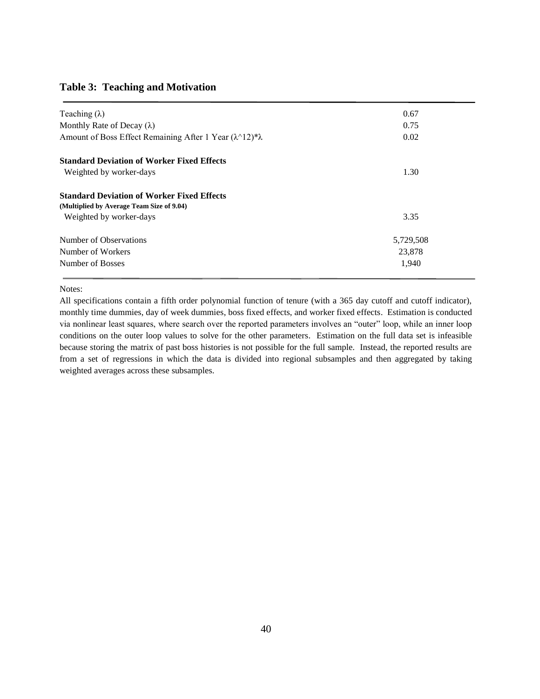### **Table 3: Teaching and Motivation**

| Teaching $(\lambda)$                                                        | 0.67      |
|-----------------------------------------------------------------------------|-----------|
| Monthly Rate of Decay $(\lambda)$                                           | 0.75      |
| Amount of Boss Effect Remaining After 1 Year $(\lambda \land 12)^* \lambda$ | 0.02      |
| <b>Standard Deviation of Worker Fixed Effects</b>                           |           |
| Weighted by worker-days                                                     | 1.30      |
| <b>Standard Deviation of Worker Fixed Effects</b>                           |           |
| (Multiplied by Average Team Size of 9.04)                                   |           |
| Weighted by worker-days                                                     | 3.35      |
| Number of Observations                                                      | 5,729,508 |
| Number of Workers                                                           | 23,878    |
| Number of Bosses                                                            | 1,940     |

#### Notes:

All specifications contain a fifth order polynomial function of tenure (with a 365 day cutoff and cutoff indicator), monthly time dummies, day of week dummies, boss fixed effects, and worker fixed effects. Estimation is conducted via nonlinear least squares, where search over the reported parameters involves an "outer" loop, while an inner loop conditions on the outer loop values to solve for the other parameters. Estimation on the full data set is infeasible because storing the matrix of past boss histories is not possible for the full sample. Instead, the reported results are from a set of regressions in which the data is divided into regional subsamples and then aggregated by taking weighted averages across these subsamples.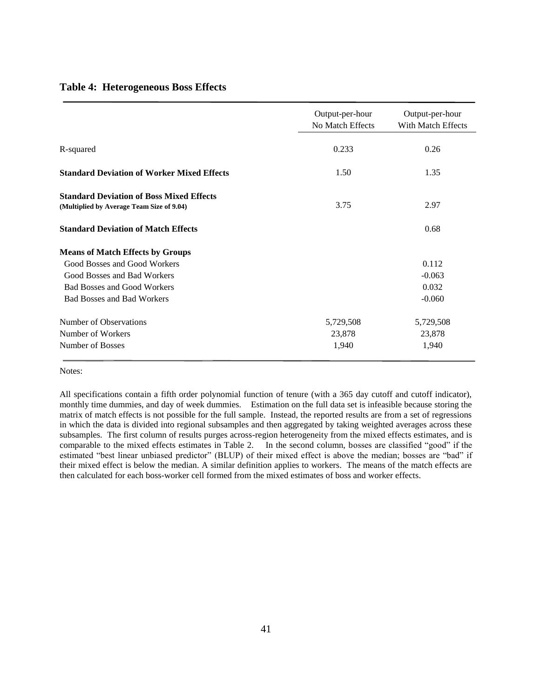|  | <b>Table 4: Heterogeneous Boss Effects</b> |  |  |
|--|--------------------------------------------|--|--|
|--|--------------------------------------------|--|--|

|                                                                                              | Output-per-hour<br>No Match Effects | Output-per-hour<br>With Match Effects |
|----------------------------------------------------------------------------------------------|-------------------------------------|---------------------------------------|
| R-squared                                                                                    | 0.233                               | 0.26                                  |
| <b>Standard Deviation of Worker Mixed Effects</b>                                            | 1.50                                | 1.35                                  |
| <b>Standard Deviation of Boss Mixed Effects</b><br>(Multiplied by Average Team Size of 9.04) | 3.75                                | 2.97                                  |
| <b>Standard Deviation of Match Effects</b>                                                   |                                     | 0.68                                  |
| <b>Means of Match Effects by Groups</b>                                                      |                                     |                                       |
| Good Bosses and Good Workers                                                                 |                                     | 0.112                                 |
| Good Bosses and Bad Workers                                                                  |                                     | $-0.063$                              |
| <b>Bad Bosses and Good Workers</b>                                                           |                                     | 0.032                                 |
| <b>Bad Bosses and Bad Workers</b>                                                            |                                     | $-0.060$                              |
| Number of Observations                                                                       | 5,729,508                           | 5,729,508                             |
| Number of Workers                                                                            | 23,878                              | 23,878                                |
| Number of Bosses                                                                             | 1,940                               | 1,940                                 |

Notes:

All specifications contain a fifth order polynomial function of tenure (with a 365 day cutoff and cutoff indicator), monthly time dummies, and day of week dummies. Estimation on the full data set is infeasible because storing the matrix of match effects is not possible for the full sample. Instead, the reported results are from a set of regressions in which the data is divided into regional subsamples and then aggregated by taking weighted averages across these subsamples. The first column of results purges across-region heterogeneity from the mixed effects estimates, and is comparable to the mixed effects estimates in Table 2. In the second column, bosses are classified "good" if the estimated "best linear unbiased predictor" (BLUP) of their mixed effect is above the median; bosses are "bad" if their mixed effect is below the median. A similar definition applies to workers. The means of the match effects are then calculated for each boss-worker cell formed from the mixed estimates of boss and worker effects.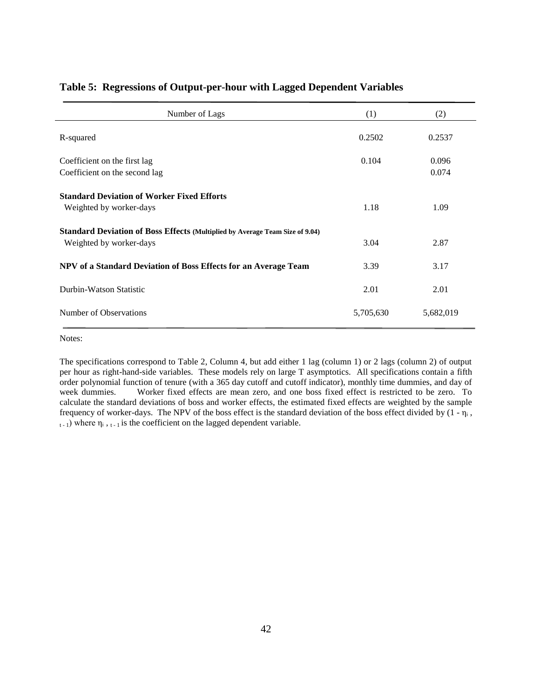| Number of Lags                                                                                                 | (1)       | (2)            |
|----------------------------------------------------------------------------------------------------------------|-----------|----------------|
| R-squared                                                                                                      | 0.2502    | 0.2537         |
| Coefficient on the first lag<br>Coefficient on the second lag                                                  | 0.104     | 0.096<br>0.074 |
| <b>Standard Deviation of Worker Fixed Efforts</b><br>Weighted by worker-days                                   | 1.18      | 1.09           |
| <b>Standard Deviation of Boss Effects (Multiplied by Average Team Size of 9.04)</b><br>Weighted by worker-days | 3.04      | 2.87           |
| NPV of a Standard Deviation of Boss Effects for an Average Team                                                | 3.39      | 3.17           |
| Durbin-Watson Statistic                                                                                        | 2.01      | 2.01           |
| Number of Observations                                                                                         | 5,705,630 | 5,682,019      |

## **Table 5: Regressions of Output-per-hour with Lagged Dependent Variables**

Notes:

The specifications correspond to Table 2, Column 4, but add either 1 lag (column 1) or 2 lags (column 2) of output per hour as right-hand-side variables. These models rely on large T asymptotics. All specifications contain a fifth order polynomial function of tenure (with a 365 day cutoff and cutoff indicator), monthly time dummies, and day of week dummies. Worker fixed effects are mean zero, and one boss fixed effect is restricted to be zero. To calculate the standard deviations of boss and worker effects, the estimated fixed effects are weighted by the sample frequency of worker-days. The NPV of the boss effect is the standard deviation of the boss effect divided by  $(1 - \eta_i)$ ,  $_{t-1}$ ) where  $\eta_i$ ,  $_{t-1}$  is the coefficient on the lagged dependent variable.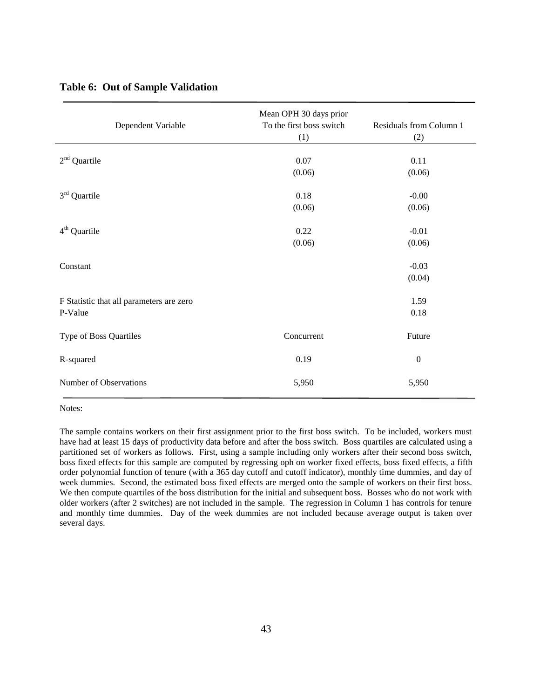|  | <b>Table 6: Out of Sample Validation</b> |  |  |
|--|------------------------------------------|--|--|
|--|------------------------------------------|--|--|

| Dependent Variable                                  | Mean OPH 30 days prior<br>To the first boss switch<br>(1) | Residuals from Column 1<br>(2) |
|-----------------------------------------------------|-----------------------------------------------------------|--------------------------------|
| $2nd$ Quartile                                      | 0.07<br>(0.06)                                            | 0.11<br>(0.06)                 |
| $3rd$ Quartile                                      | 0.18<br>(0.06)                                            | $-0.00$<br>(0.06)              |
| $4th$ Quartile                                      | 0.22<br>(0.06)                                            | $-0.01$<br>(0.06)              |
| Constant                                            |                                                           | $-0.03$<br>(0.04)              |
| F Statistic that all parameters are zero<br>P-Value |                                                           | 1.59<br>0.18                   |
| Type of Boss Quartiles                              | Concurrent                                                | Future                         |
| R-squared                                           | 0.19                                                      | $\boldsymbol{0}$               |
| Number of Observations                              | 5,950                                                     | 5,950                          |

Notes:

The sample contains workers on their first assignment prior to the first boss switch. To be included, workers must have had at least 15 days of productivity data before and after the boss switch. Boss quartiles are calculated using a partitioned set of workers as follows. First, using a sample including only workers after their second boss switch, boss fixed effects for this sample are computed by regressing oph on worker fixed effects, boss fixed effects, a fifth order polynomial function of tenure (with a 365 day cutoff and cutoff indicator), monthly time dummies, and day of week dummies. Second, the estimated boss fixed effects are merged onto the sample of workers on their first boss. We then compute quartiles of the boss distribution for the initial and subsequent boss. Bosses who do not work with older workers (after 2 switches) are not included in the sample. The regression in Column 1 has controls for tenure and monthly time dummies. Day of the week dummies are not included because average output is taken over several days.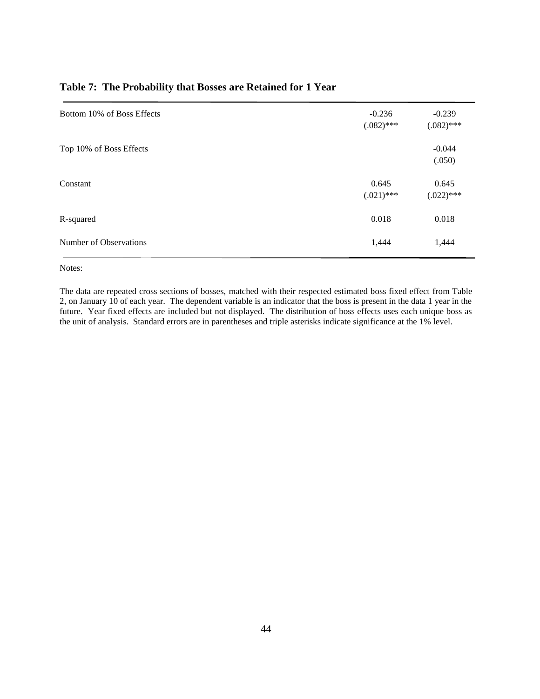| Bottom 10% of Boss Effects | $-0.236$<br>$(.082)$ *** | $-0.239$<br>$(.082)$ *** |
|----------------------------|--------------------------|--------------------------|
| Top 10% of Boss Effects    |                          | $-0.044$<br>(.050)       |
| Constant                   | 0.645<br>$(.021)$ ***    | 0.645<br>$(.022)$ ***    |
| R-squared                  | 0.018                    | 0.018                    |
| Number of Observations     | 1,444                    | 1,444                    |

### **Table 7: The Probability that Bosses are Retained for 1 Year**

Notes:

The data are repeated cross sections of bosses, matched with their respected estimated boss fixed effect from Table 2, on January 10 of each year. The dependent variable is an indicator that the boss is present in the data 1 year in the future. Year fixed effects are included but not displayed. The distribution of boss effects uses each unique boss as the unit of analysis. Standard errors are in parentheses and triple asterisks indicate significance at the 1% level.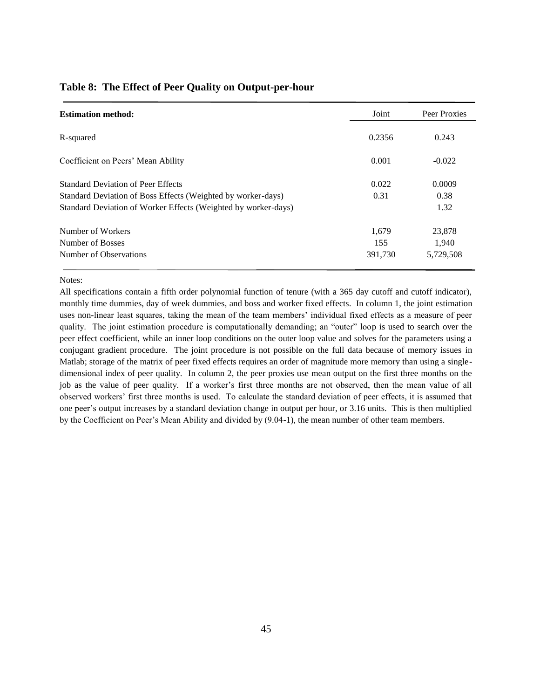| <b>Estimation method:</b>                                      | Joint   | Peer Proxies |
|----------------------------------------------------------------|---------|--------------|
| R-squared                                                      | 0.2356  | 0.243        |
| Coefficient on Peers' Mean Ability                             | 0.001   | $-0.022$     |
| <b>Standard Deviation of Peer Effects</b>                      | 0.022   | 0.0009       |
| Standard Deviation of Boss Effects (Weighted by worker-days)   | 0.31    | 0.38         |
| Standard Deviation of Worker Effects (Weighted by worker-days) |         | 1.32         |
| Number of Workers                                              | 1.679   | 23,878       |
| Number of Bosses                                               | 155     | 1,940        |
| Number of Observations                                         | 391,730 | 5,729,508    |

#### **Table 8: The Effect of Peer Quality on Output-per-hour**

#### Notes:

All specifications contain a fifth order polynomial function of tenure (with a 365 day cutoff and cutoff indicator), monthly time dummies, day of week dummies, and boss and worker fixed effects. In column 1, the joint estimation uses non-linear least squares, taking the mean of the team members' individual fixed effects as a measure of peer quality. The joint estimation procedure is computationally demanding; an "outer" loop is used to search over the peer effect coefficient, while an inner loop conditions on the outer loop value and solves for the parameters using a conjugant gradient procedure. The joint procedure is not possible on the full data because of memory issues in Matlab; storage of the matrix of peer fixed effects requires an order of magnitude more memory than using a singledimensional index of peer quality. In column 2, the peer proxies use mean output on the first three months on the job as the value of peer quality. If a worker's first three months are not observed, then the mean value of all observed workers' first three months is used. To calculate the standard deviation of peer effects, it is assumed that one peer's output increases by a standard deviation change in output per hour, or 3.16 units. This is then multiplied by the Coefficient on Peer's Mean Ability and divided by (9.04-1), the mean number of other team members.